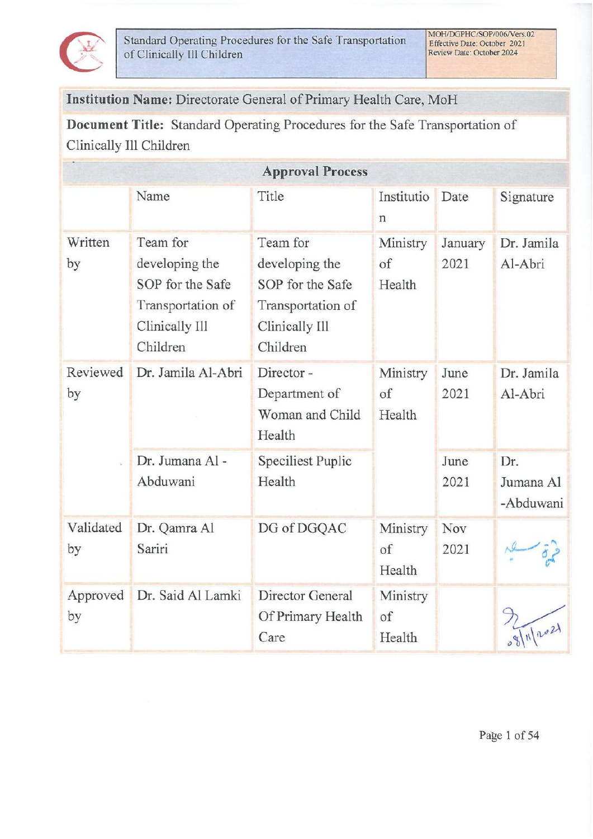

Institution Name: Directorate General of Primary Health Care, MoH

Document Title: Standard Operating Procedures for the Safe Transportation of Clinically Ill Children

| <b>Approval Process</b> |                                                                                                   |                                                                                                   |                          |                 |                               |  |
|-------------------------|---------------------------------------------------------------------------------------------------|---------------------------------------------------------------------------------------------------|--------------------------|-----------------|-------------------------------|--|
|                         | Name                                                                                              | Title                                                                                             | Institutio<br>n          | Date            | Signature                     |  |
| Written<br>by           | Team for<br>developing the<br>SOP for the Safe<br>Transportation of<br>Clinically Ill<br>Children | Team for<br>developing the<br>SOP for the Safe<br>Transportation of<br>Clinically Ill<br>Children | Ministry<br>of<br>Health | January<br>2021 | Dr. Jamila<br>Al-Abri         |  |
| Reviewed<br>by          | Dr. Jamila Al-Abri                                                                                | Director-<br>Department of<br>Woman and Child<br>Health                                           | Ministry<br>of<br>Health | June<br>2021    | Dr. Jamila<br>Al-Abri         |  |
|                         | Dr. Jumana Al -<br>Abduwani                                                                       | Speciliest Puplic<br>Health                                                                       |                          | June<br>2021    | Dr.<br>Jumana Al<br>-Abduwani |  |
| Validated<br>by         | Dr. Qamra Al<br>Sariri                                                                            | DG of DGQAC                                                                                       | Ministry<br>of<br>Health | Nov<br>2021     |                               |  |
| Approved<br>by          | Dr. Said Al Lamki                                                                                 | Director General<br>Of Primary Health<br>Care                                                     | Ministry<br>of<br>Health |                 |                               |  |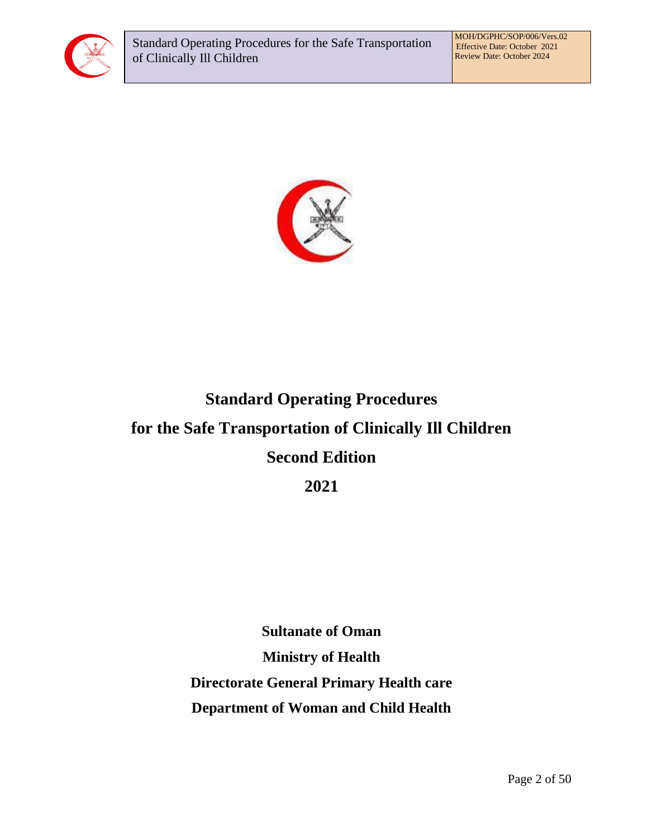



# **Standard Operating Procedures for the Safe Transportation of Clinically Ill Children Second Edition**

**2021**

**Sultanate of Oman Ministry of Health Directorate General Primary Health care Department of Woman and Child Health**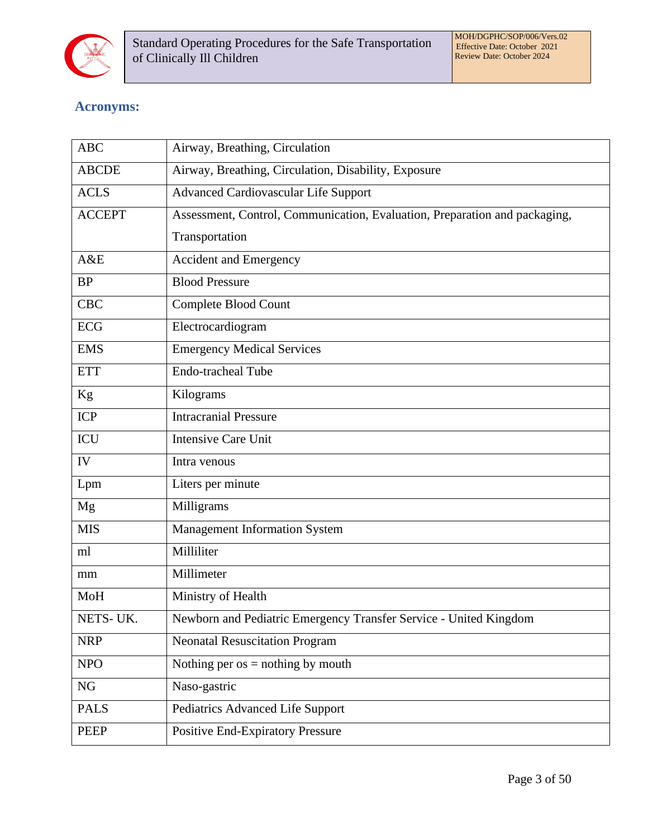

# **Acronyms:**

| <b>ABC</b>    | Airway, Breathing, Circulation                                             |  |  |
|---------------|----------------------------------------------------------------------------|--|--|
| <b>ABCDE</b>  | Airway, Breathing, Circulation, Disability, Exposure                       |  |  |
| <b>ACLS</b>   | <b>Advanced Cardiovascular Life Support</b>                                |  |  |
| <b>ACCEPT</b> | Assessment, Control, Communication, Evaluation, Preparation and packaging, |  |  |
|               | Transportation                                                             |  |  |
| A&E           | <b>Accident and Emergency</b>                                              |  |  |
| <b>BP</b>     | <b>Blood Pressure</b>                                                      |  |  |
| <b>CBC</b>    | Complete Blood Count                                                       |  |  |
| <b>ECG</b>    | Electrocardiogram                                                          |  |  |
| <b>EMS</b>    | <b>Emergency Medical Services</b>                                          |  |  |
| <b>ETT</b>    | <b>Endo-tracheal Tube</b>                                                  |  |  |
| Kg            | Kilograms                                                                  |  |  |
| ICP           | <b>Intracranial Pressure</b>                                               |  |  |
| <b>ICU</b>    | <b>Intensive Care Unit</b>                                                 |  |  |
| IV            | Intra venous                                                               |  |  |
| Lpm           | Liters per minute                                                          |  |  |
| Mg            | Milligrams                                                                 |  |  |
| <b>MIS</b>    | Management Information System                                              |  |  |
| ml            | Milliliter                                                                 |  |  |
| mm            | Millimeter                                                                 |  |  |
| MoH           | Ministry of Health                                                         |  |  |
| NETS-UK.      | Newborn and Pediatric Emergency Transfer Service - United Kingdom          |  |  |
| <b>NRP</b>    | <b>Neonatal Resuscitation Program</b>                                      |  |  |
| <b>NPO</b>    | Nothing per $os =$ nothing by mouth                                        |  |  |
| NG            | Naso-gastric                                                               |  |  |
| <b>PALS</b>   | Pediatrics Advanced Life Support                                           |  |  |
| <b>PEEP</b>   | <b>Positive End-Expiratory Pressure</b>                                    |  |  |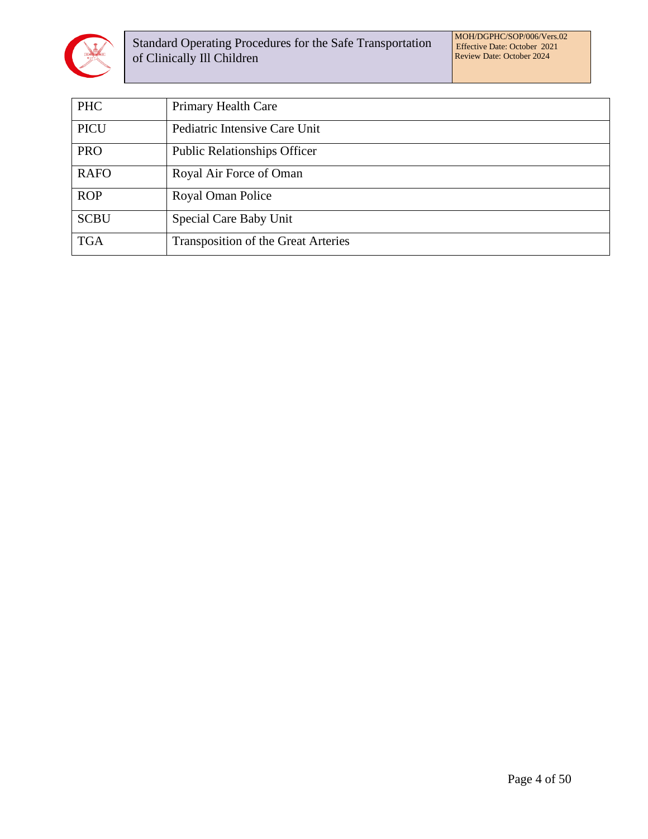

Standard Operating Procedures for the Safe Transportation of Clinically Ill Children

MOH/DGPHC/SOP/006/Vers.02 Effective Date: October 2021 Review Date: October 2024

| <b>PHC</b>  | <b>Primary Health Care</b>          |
|-------------|-------------------------------------|
| <b>PICU</b> | Pediatric Intensive Care Unit       |
| <b>PRO</b>  | <b>Public Relationships Officer</b> |
| <b>RAFO</b> | Royal Air Force of Oman             |
| <b>ROP</b>  | Royal Oman Police                   |
| <b>SCBU</b> | Special Care Baby Unit              |
| <b>TGA</b>  | Transposition of the Great Arteries |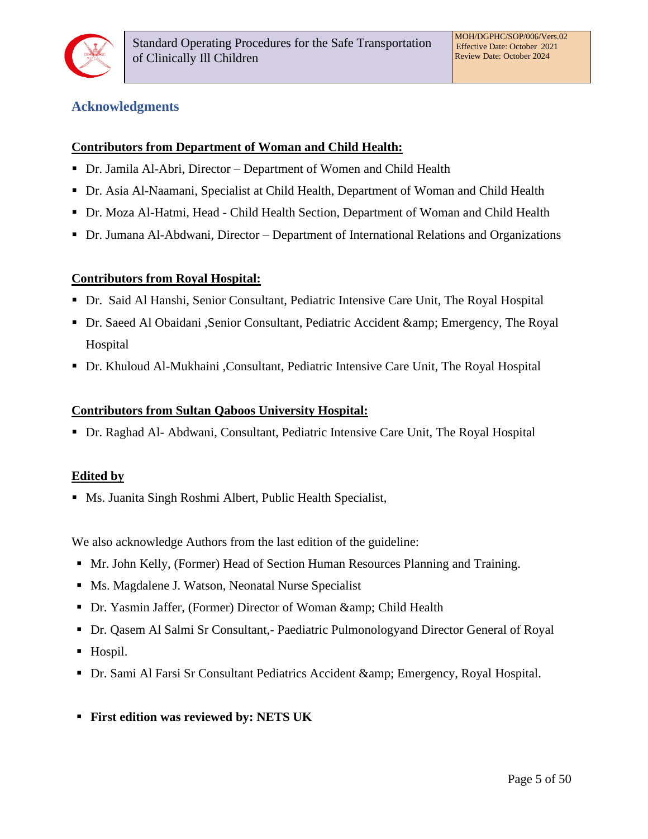

## <span id="page-4-0"></span>**Acknowledgments**

#### **Contributors from Department of Woman and Child Health:**

- Dr. Jamila Al-Abri, Director Department of Women and Child Health
- Dr. Asia Al-Naamani, Specialist at Child Health, Department of Woman and Child Health
- Dr. Moza Al-Hatmi, Head Child Health Section, Department of Woman and Child Health
- Dr. Jumana Al-Abdwani, Director Department of International Relations and Organizations

#### **Contributors from Royal Hospital:**

- Dr. Said Al Hanshi, Senior Consultant, Pediatric Intensive Care Unit, The Royal Hospital
- Dr. Saeed Al Obaidani ,Senior Consultant, Pediatric Accident & amp; Emergency, The Royal Hospital
- Dr. Khuloud Al-Mukhaini ,Consultant, Pediatric Intensive Care Unit, The Royal Hospital

#### **Contributors from Sultan Qaboos University Hospital:**

▪ Dr. Raghad Al- Abdwani, Consultant, Pediatric Intensive Care Unit, The Royal Hospital

#### **Edited by**

■ Ms. Juanita Singh Roshmi Albert, Public Health Specialist,

We also acknowledge Authors from the last edition of the guideline:

- Mr. John Kelly, (Former) Head of Section Human Resources Planning and Training.
- Ms. Magdalene J. Watson, Neonatal Nurse Specialist
- Dr. Yasmin Jaffer, (Former) Director of Woman & amp; Child Health
- Dr. Qasem Al Salmi Sr Consultant,- Paediatric Pulmonologyand Director General of Royal
- Hospil.
- Dr. Sami Al Farsi Sr Consultant Pediatrics Accident & amp; Emergency, Royal Hospital.
- **First edition was reviewed by: NETS UK**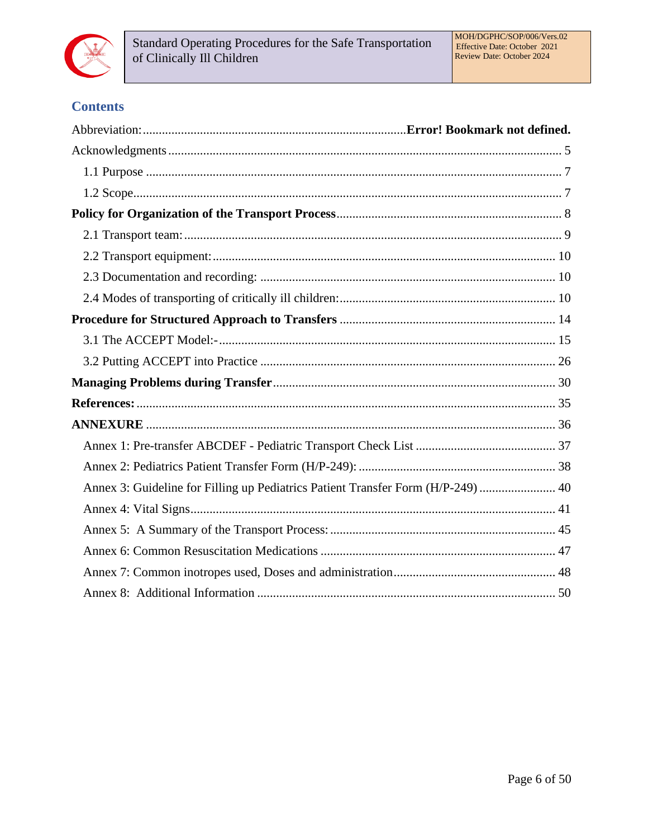

# **Contents**

| Annex 3: Guideline for Filling up Pediatrics Patient Transfer Form (H/P-249)  40 |  |
|----------------------------------------------------------------------------------|--|
|                                                                                  |  |
|                                                                                  |  |
|                                                                                  |  |
|                                                                                  |  |
|                                                                                  |  |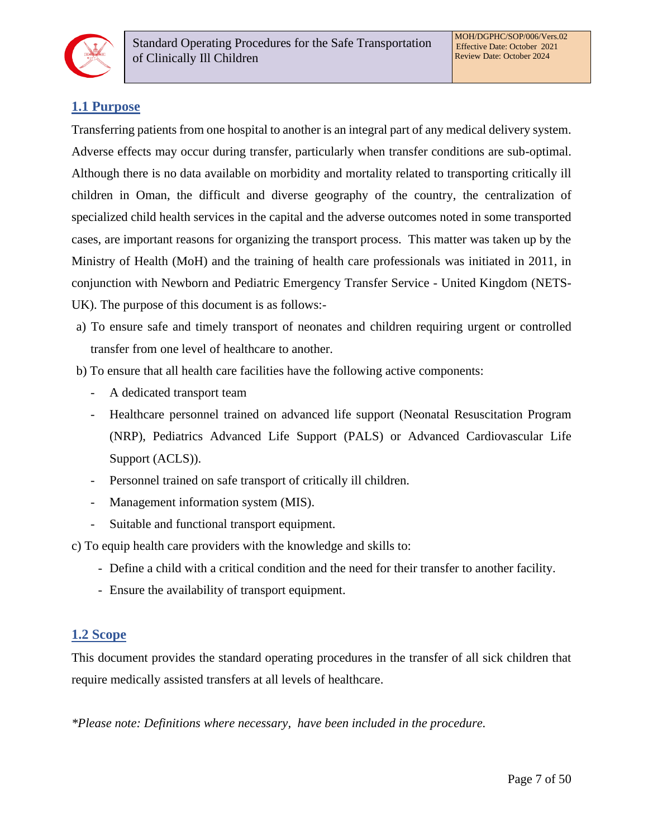

## <span id="page-6-0"></span>**1.1 Purpose**

Transferring patients from one hospital to another is an integral part of any medical delivery system. Adverse effects may occur during transfer, particularly when transfer conditions are sub-optimal. Although there is no data available on morbidity and mortality related to transporting critically ill children in Oman, the difficult and diverse geography of the country, the centralization of specialized child health services in the capital and the adverse outcomes noted in some transported cases, are important reasons for organizing the transport process. This matter was taken up by the Ministry of Health (MoH) and the training of health care professionals was initiated in 2011, in conjunction with Newborn and Pediatric Emergency Transfer Service - United Kingdom (NETS-UK). The purpose of this document is as follows:-

- a) To ensure safe and timely transport of neonates and children requiring urgent or controlled transfer from one level of healthcare to another.
- b) To ensure that all health care facilities have the following active components:
	- A dedicated transport team
	- Healthcare personnel trained on advanced life support (Neonatal Resuscitation Program (NRP), Pediatrics Advanced Life Support (PALS) or Advanced Cardiovascular Life Support (ACLS)).
	- Personnel trained on safe transport of critically ill children.
	- Management information system (MIS).
	- Suitable and functional transport equipment.

c) To equip health care providers with the knowledge and skills to:

- Define a child with a critical condition and the need for their transfer to another facility.
- Ensure the availability of transport equipment.

## <span id="page-6-1"></span>**1.2 Scope**

This document provides the standard operating procedures in the transfer of all sick children that require medically assisted transfers at all levels of healthcare.

*\*Please note: Definitions where necessary, have been included in the procedure.*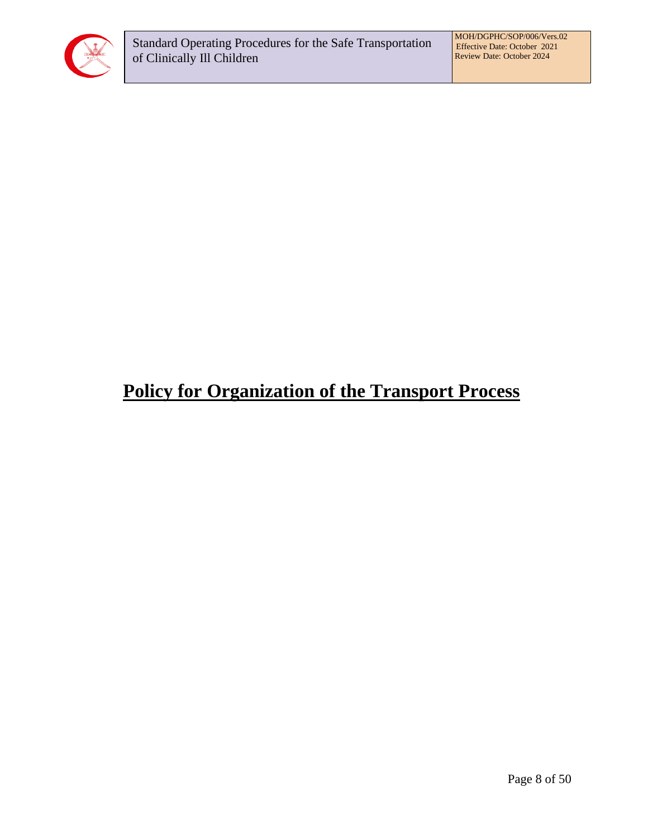

# <span id="page-7-0"></span>**Policy for Organization of the Transport Process**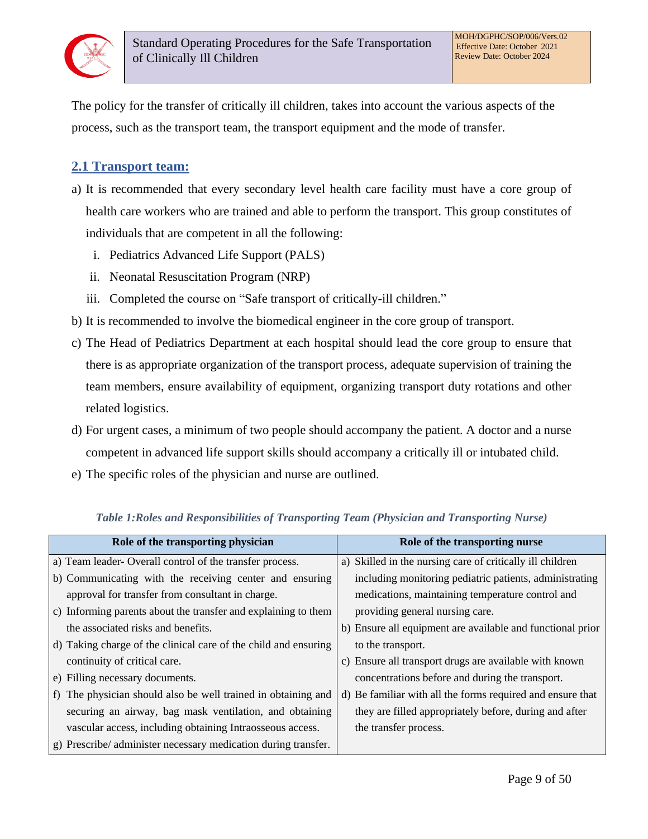

The policy for the transfer of critically ill children, takes into account the various aspects of the process, such as the transport team, the transport equipment and the mode of transfer.

## <span id="page-8-0"></span>**2.1 Transport team:**

- a) It is recommended that every secondary level health care facility must have a core group of health care workers who are trained and able to perform the transport. This group constitutes of individuals that are competent in all the following:
	- i. Pediatrics Advanced Life Support (PALS)
	- ii. Neonatal Resuscitation Program (NRP)
	- iii. Completed the course on "Safe transport of critically-ill children."
- b) It is recommended to involve the biomedical engineer in the core group of transport.
- c) The Head of Pediatrics Department at each hospital should lead the core group to ensure that there is as appropriate organization of the transport process, adequate supervision of training the team members, ensure availability of equipment, organizing transport duty rotations and other related logistics.
- d) For urgent cases, a minimum of two people should accompany the patient. A doctor and a nurse competent in advanced life support skills should accompany a critically ill or intubated child.
- e) The specific roles of the physician and nurse are outlined.

| Role of the transporting physician                                                 | Role of the transporting nurse                             |
|------------------------------------------------------------------------------------|------------------------------------------------------------|
| a) Team leader- Overall control of the transfer process.                           | a) Skilled in the nursing care of critically ill children  |
| b) Communicating with the receiving center and ensuring                            | including monitoring pediatric patients, administrating    |
| approval for transfer from consultant in charge.                                   | medications, maintaining temperature control and           |
| c) Informing parents about the transfer and explaining to them                     | providing general nursing care.                            |
| the associated risks and benefits.                                                 | b) Ensure all equipment are available and functional prior |
| d) Taking charge of the clinical care of the child and ensuring                    | to the transport.                                          |
| continuity of critical care.                                                       | c) Ensure all transport drugs are available with known     |
| e) Filling necessary documents.                                                    | concentrations before and during the transport.            |
| The physician should also be well trained in obtaining and<br>$\ddot{\phantom{1}}$ | d) Be familiar with all the forms required and ensure that |
| securing an airway, bag mask ventilation, and obtaining                            | they are filled appropriately before, during and after     |
| vascular access, including obtaining Intraosseous access.                          | the transfer process.                                      |
| g) Prescribe/administer necessary medication during transfer.                      |                                                            |

#### *Table 1:Roles and Responsibilities of Transporting Team (Physician and Transporting Nurse)*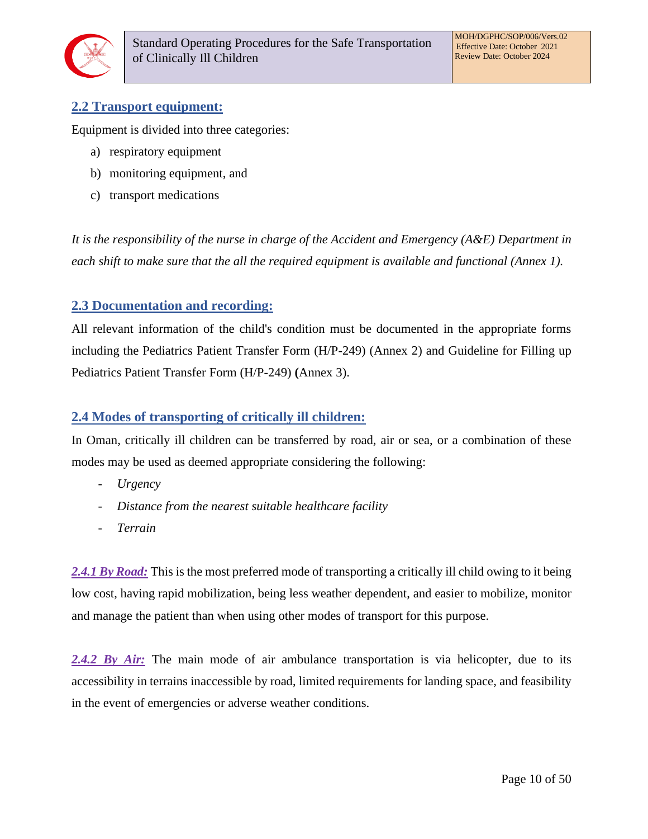

## <span id="page-9-0"></span>**2.2 Transport equipment:**

Equipment is divided into three categories:

- a) respiratory equipment
- b) monitoring equipment, and
- c) transport medications

*It is the responsibility of the nurse in charge of the Accident and Emergency (A&E) Department in each shift to make sure that the all the required equipment is available and functional (Annex 1).*

## <span id="page-9-1"></span>**2.3 Documentation and recording:**

All relevant information of the child's condition must be documented in the appropriate forms including the Pediatrics Patient Transfer Form (H/P-249) (Annex 2) and Guideline for Filling up Pediatrics Patient Transfer Form (H/P-249) **(**Annex 3).

## <span id="page-9-2"></span>**2.4 Modes of transporting of critically ill children:**

In Oman, critically ill children can be transferred by road, air or sea, or a combination of these modes may be used as deemed appropriate considering the following:

- *Urgency*
- *Distance from the nearest suitable healthcare facility*
- *Terrain*

*2.4.1 By Road:* This is the most preferred mode of transporting a critically ill child owing to it being low cost, having rapid mobilization, being less weather dependent, and easier to mobilize, monitor and manage the patient than when using other modes of transport for this purpose.

2.4.2 By Air: The main mode of air ambulance transportation is via helicopter, due to its accessibility in terrains inaccessible by road, limited requirements for landing space, and feasibility in the event of emergencies or adverse weather conditions.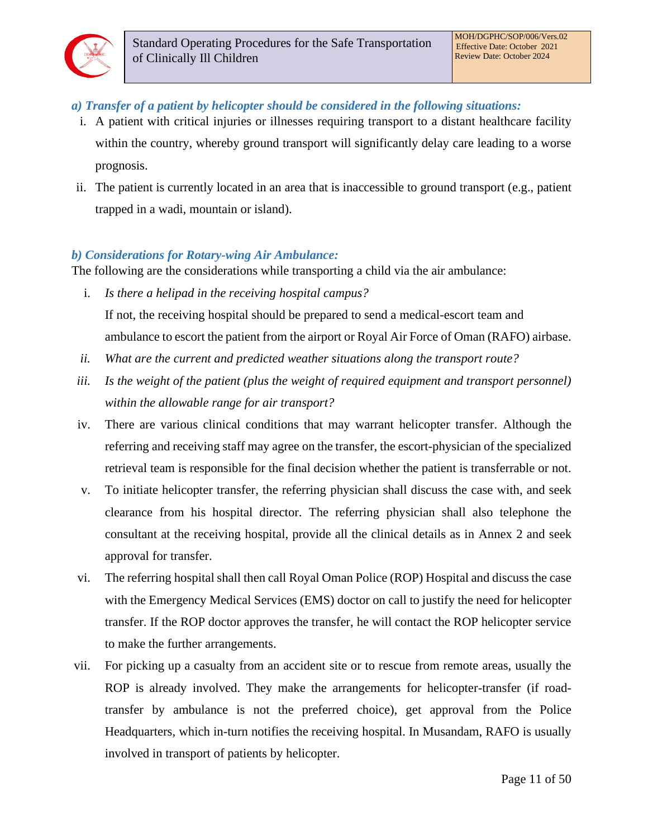## *a) Transfer of a patient by helicopter should be considered in the following situations:*

- i. A patient with critical injuries or illnesses requiring transport to a distant healthcare facility within the country, whereby ground transport will significantly delay care leading to a worse prognosis.
- ii. The patient is currently located in an area that is inaccessible to ground transport (e.g., patient trapped in a wadi, mountain or island).

## *b) Considerations for Rotary-wing Air Ambulance:*

The following are the considerations while transporting a child via the air ambulance:

- i. *Is there a helipad in the receiving hospital campus?* If not, the receiving hospital should be prepared to send a medical-escort team and ambulance to escort the patient from the airport or Royal Air Force of Oman (RAFO) airbase.
- *ii. What are the current and predicted weather situations along the transport route?*
- iii. Is the weight of the patient (plus the weight of required equipment and transport personnel) *within the allowable range for air transport?*
- iv. There are various clinical conditions that may warrant helicopter transfer. Although the referring and receiving staff may agree on the transfer, the escort-physician of the specialized retrieval team is responsible for the final decision whether the patient is transferrable or not.
- v. To initiate helicopter transfer, the referring physician shall discuss the case with, and seek clearance from his hospital director. The referring physician shall also telephone the consultant at the receiving hospital, provide all the clinical details as in Annex 2 and seek approval for transfer.
- vi. The referring hospital shall then call Royal Oman Police (ROP) Hospital and discuss the case with the Emergency Medical Services (EMS) doctor on call to justify the need for helicopter transfer. If the ROP doctor approves the transfer, he will contact the ROP helicopter service to make the further arrangements.
- vii. For picking up a casualty from an accident site or to rescue from remote areas, usually the ROP is already involved. They make the arrangements for helicopter-transfer (if roadtransfer by ambulance is not the preferred choice), get approval from the Police Headquarters, which in-turn notifies the receiving hospital. In Musandam, RAFO is usually involved in transport of patients by helicopter.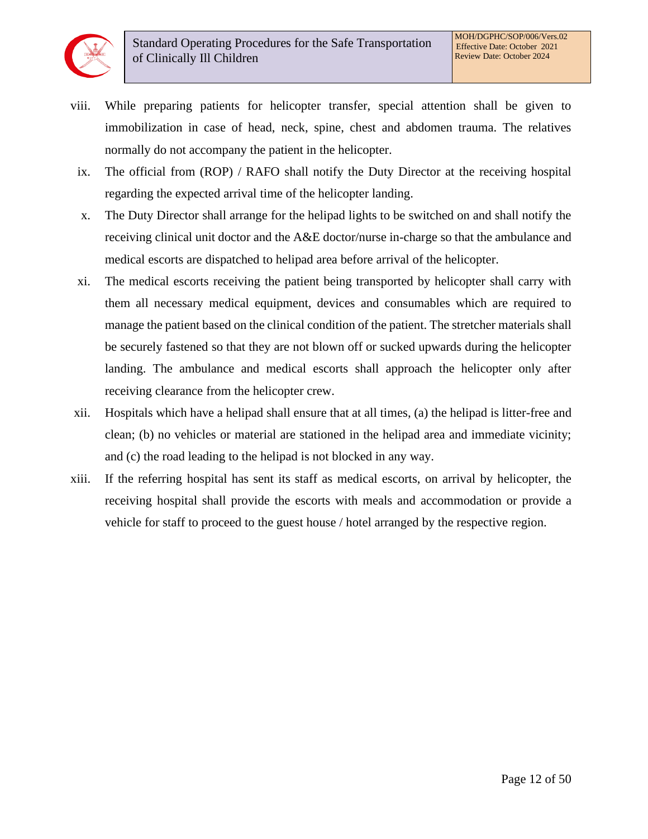- viii. While preparing patients for helicopter transfer, special attention shall be given to immobilization in case of head, neck, spine, chest and abdomen trauma. The relatives normally do not accompany the patient in the helicopter.
- ix. The official from (ROP) / RAFO shall notify the Duty Director at the receiving hospital regarding the expected arrival time of the helicopter landing.
- x. The Duty Director shall arrange for the helipad lights to be switched on and shall notify the receiving clinical unit doctor and the A&E doctor/nurse in-charge so that the ambulance and medical escorts are dispatched to helipad area before arrival of the helicopter.
- xi. The medical escorts receiving the patient being transported by helicopter shall carry with them all necessary medical equipment, devices and consumables which are required to manage the patient based on the clinical condition of the patient. The stretcher materials shall be securely fastened so that they are not blown off or sucked upwards during the helicopter landing. The ambulance and medical escorts shall approach the helicopter only after receiving clearance from the helicopter crew.
- xii. Hospitals which have a helipad shall ensure that at all times, (a) the helipad is litter-free and clean; (b) no vehicles or material are stationed in the helipad area and immediate vicinity; and (c) the road leading to the helipad is not blocked in any way.
- xiii. If the referring hospital has sent its staff as medical escorts, on arrival by helicopter, the receiving hospital shall provide the escorts with meals and accommodation or provide a vehicle for staff to proceed to the guest house / hotel arranged by the respective region.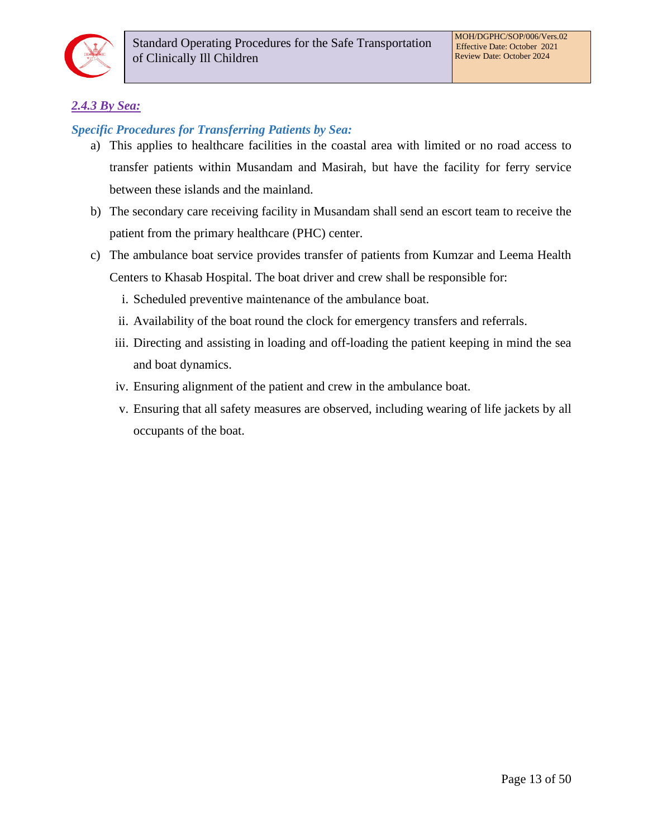

## *2.4.3 By Sea:*

## *Specific Procedures for Transferring Patients by Sea:*

- a) This applies to healthcare facilities in the coastal area with limited or no road access to transfer patients within Musandam and Masirah, but have the facility for ferry service between these islands and the mainland.
- b) The secondary care receiving facility in Musandam shall send an escort team to receive the patient from the primary healthcare (PHC) center.
- c) The ambulance boat service provides transfer of patients from Kumzar and Leema Health Centers to Khasab Hospital. The boat driver and crew shall be responsible for:
	- i. Scheduled preventive maintenance of the ambulance boat.
	- ii. Availability of the boat round the clock for emergency transfers and referrals.
	- iii. Directing and assisting in loading and off-loading the patient keeping in mind the sea and boat dynamics.
	- iv. Ensuring alignment of the patient and crew in the ambulance boat.
	- v. Ensuring that all safety measures are observed, including wearing of life jackets by all occupants of the boat.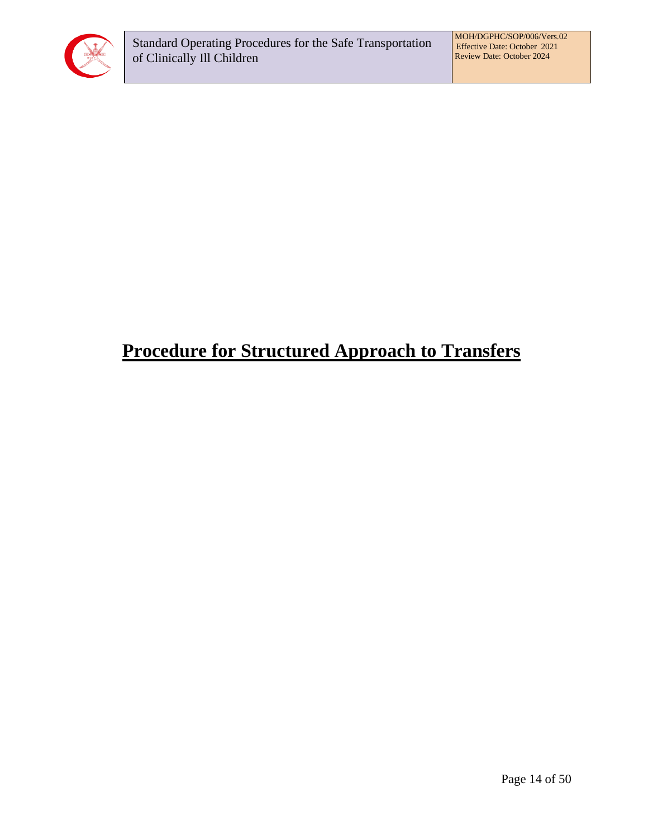

# <span id="page-13-0"></span>**Procedure for Structured Approach to Transfers**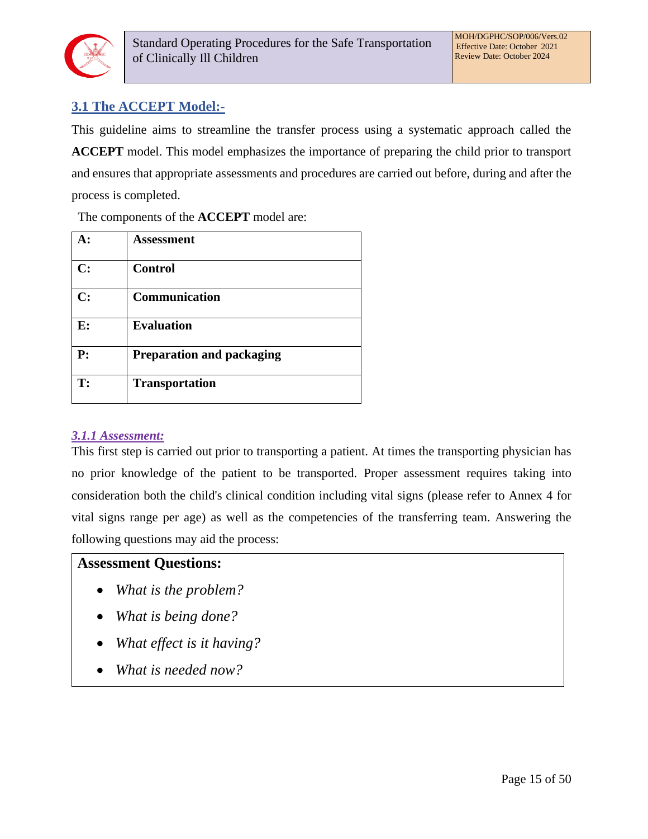

## <span id="page-14-0"></span>**3.1 The ACCEPT Model:-**

This guideline aims to streamline the transfer process using a systematic approach called the **ACCEPT** model. This model emphasizes the importance of preparing the child prior to transport and ensures that appropriate assessments and procedures are carried out before, during and after the process is completed.

The components of the **ACCEPT** model are:

|             | Assessment                       |
|-------------|----------------------------------|
| C:          | <b>Control</b>                   |
| C:          | <b>Communication</b>             |
| E:          | <b>Evaluation</b>                |
| ${\bf P}$ : | <b>Preparation and packaging</b> |
| T:          | <b>Transportation</b>            |

#### *3.1.1 Assessment:*

This first step is carried out prior to transporting a patient. At times the transporting physician has no prior knowledge of the patient to be transported. Proper assessment requires taking into consideration both the child's clinical condition including vital signs (please refer to Annex 4 for vital signs range per age) as well as the competencies of the transferring team. Answering the following questions may aid the process:

## **Assessment Questions:**

- *What is the problem?*
- *What is being done?*
- *What effect is it having?*
- *What is needed now?*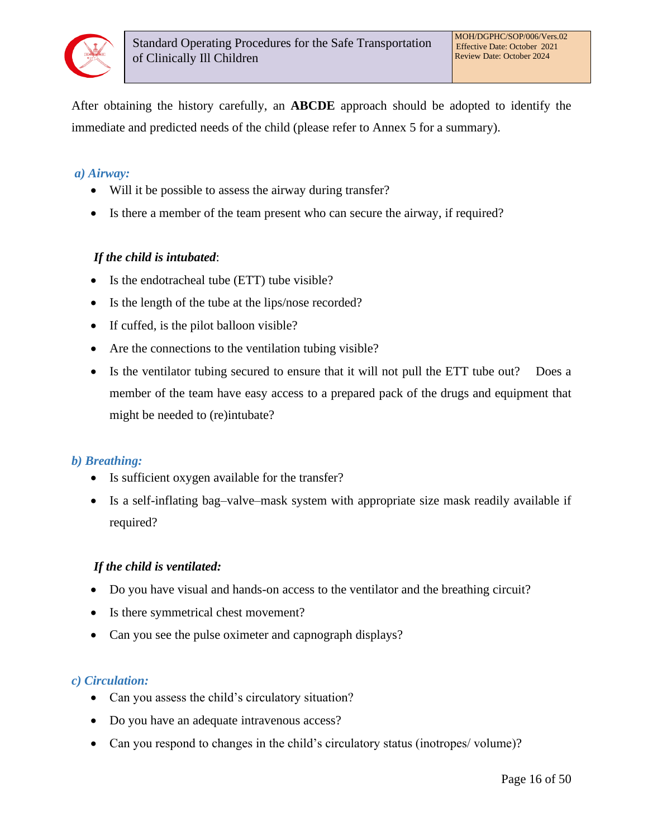

After obtaining the history carefully, an **ABCDE** approach should be adopted to identify the immediate and predicted needs of the child (please refer to Annex 5 for a summary).

#### *a) Airway:*

- Will it be possible to assess the airway during transfer?
- Is there a member of the team present who can secure the airway, if required?

#### *If the child is intubated*:

- Is the endotracheal tube (ETT) tube visible?
- Is the length of the tube at the lips/nose recorded?
- If cuffed, is the pilot balloon visible?
- Are the connections to the ventilation tubing visible?
- Is the ventilator tubing secured to ensure that it will not pull the ETT tube out? Does a member of the team have easy access to a prepared pack of the drugs and equipment that might be needed to (re)intubate?

#### *b) Breathing:*

- Is sufficient oxygen available for the transfer?
- Is a self-inflating bag–valve–mask system with appropriate size mask readily available if required?

#### *If the child is ventilated:*

- Do you have visual and hands-on access to the ventilator and the breathing circuit?
- Is there symmetrical chest movement?
- Can you see the pulse oximeter and capnograph displays?

#### *c) Circulation:*

- Can you assess the child's circulatory situation?
- Do you have an adequate intravenous access?
- Can you respond to changes in the child's circulatory status (inotropes/ volume)?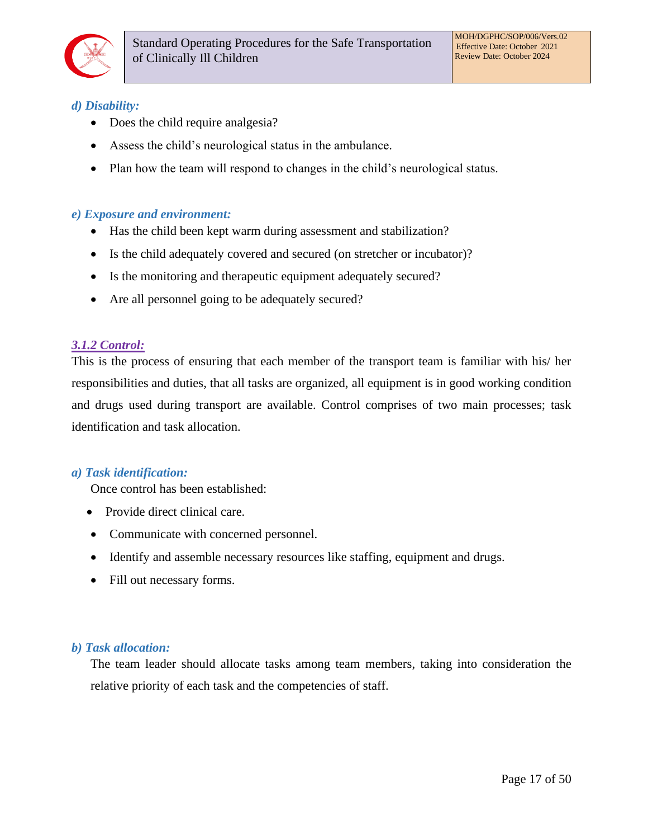

## *d) Disability:*

- Does the child require analgesia?
- Assess the child's neurological status in the ambulance.
- Plan how the team will respond to changes in the child's neurological status.

#### *e) Exposure and environment:*

- Has the child been kept warm during assessment and stabilization?
- Is the child adequately covered and secured (on stretcher or incubator)?
- Is the monitoring and therapeutic equipment adequately secured?
- Are all personnel going to be adequately secured?

#### *3.1.2 Control:*

This is the process of ensuring that each member of the transport team is familiar with his/ her responsibilities and duties, that all tasks are organized, all equipment is in good working condition and drugs used during transport are available. Control comprises of two main processes; task identification and task allocation.

#### *a) Task identification:*

Once control has been established:

- Provide direct clinical care.
- Communicate with concerned personnel.
- Identify and assemble necessary resources like staffing, equipment and drugs.
- Fill out necessary forms.

#### *b) Task allocation:*

The team leader should allocate tasks among team members, taking into consideration the relative priority of each task and the competencies of staff.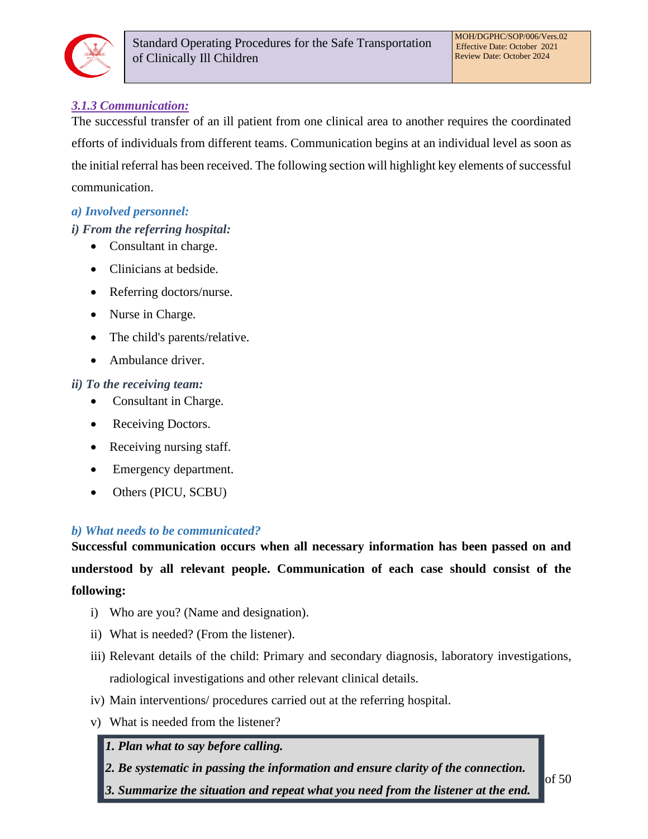

## *3.1.3 Communication:*

The successful transfer of an ill patient from one clinical area to another requires the coordinated efforts of individuals from different teams. Communication begins at an individual level as soon as the initial referral has been received. The following section will highlight key elements of successful communication.

## *a) Involved personnel:*

## *i) From the referring hospital:*

- Consultant in charge.
- Clinicians at bedside.
- Referring doctors/nurse.
- Nurse in Charge.
- The child's parents/relative.
- Ambulance driver.

## *ii) To the receiving team:*

- Consultant in Charge.
- Receiving Doctors.
- Receiving nursing staff.
- Emergency department.
- Others (PICU, SCBU)

## *b) What needs to be communicated?*

**Successful communication occurs when all necessary information has been passed on and understood by all relevant people. Communication of each case should consist of the following:** 

- i) Who are you? (Name and designation).
- ii) What is needed? (From the listener).
- iii) Relevant details of the child: Primary and secondary diagnosis, laboratory investigations, radiological investigations and other relevant clinical details.
- iv) Main interventions/ procedures carried out at the referring hospital.
- v) What is needed from the listener?
	- *1. Plan what to say before calling.*
	- *2. Be systematic in passing the information and ensure clarity of the connection.*
	- *3. Summarize the situation and repeat what you need from the listener at the end.*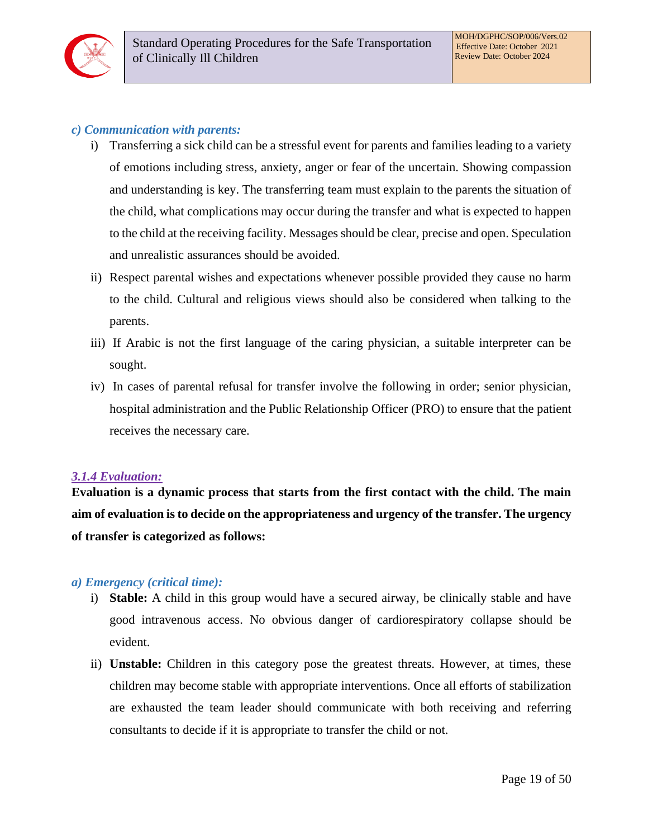

#### *c) Communication with parents:*

- i) Transferring a sick child can be a stressful event for parents and families leading to a variety of emotions including stress, anxiety, anger or fear of the uncertain. Showing compassion and understanding is key. The transferring team must explain to the parents the situation of the child, what complications may occur during the transfer and what is expected to happen to the child at the receiving facility. Messages should be clear, precise and open. Speculation and unrealistic assurances should be avoided.
- ii) Respect parental wishes and expectations whenever possible provided they cause no harm to the child. Cultural and religious views should also be considered when talking to the parents.
- iii) If Arabic is not the first language of the caring physician, a suitable interpreter can be sought.
- iv) In cases of parental refusal for transfer involve the following in order; senior physician, hospital administration and the Public Relationship Officer (PRO) to ensure that the patient receives the necessary care.

#### *3.1.4 Evaluation:*

**Evaluation is a dynamic process that starts from the first contact with the child. The main aim of evaluation is to decide on the appropriateness and urgency of the transfer. The urgency of transfer is categorized as follows:** 

#### *a) Emergency (critical time):*

- i) **Stable:** A child in this group would have a secured airway, be clinically stable and have good intravenous access. No obvious danger of cardiorespiratory collapse should be evident.
- ii) **Unstable:** Children in this category pose the greatest threats. However, at times, these children may become stable with appropriate interventions. Once all efforts of stabilization are exhausted the team leader should communicate with both receiving and referring consultants to decide if it is appropriate to transfer the child or not.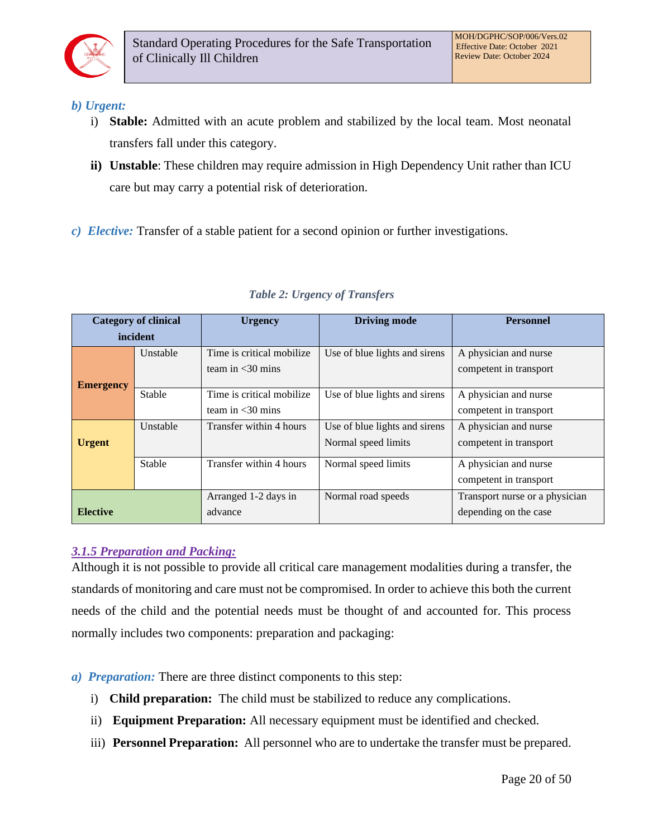

#### *b) Urgent:*

- i) **Stable:** Admitted with an acute problem and stabilized by the local team. Most neonatal transfers fall under this category.
- **ii) Unstable**: These children may require admission in High Dependency Unit rather than ICU care but may carry a potential risk of deterioration.
- *c) Elective:* Transfer of a stable patient for a second opinion or further investigations.

| <b>Category of clinical</b> |               | <b>Urgency</b>                                              | <b>Driving mode</b>           | <b>Personnel</b>               |  |
|-----------------------------|---------------|-------------------------------------------------------------|-------------------------------|--------------------------------|--|
| incident                    |               |                                                             |                               |                                |  |
| Unstable                    |               | Time is critical mobilize.<br>Use of blue lights and sirens |                               | A physician and nurse          |  |
|                             |               | team in $<$ 30 mins                                         |                               | competent in transport         |  |
| <b>Emergency</b>            |               |                                                             |                               |                                |  |
|                             | <b>Stable</b> | Time is critical mobilize.                                  | Use of blue lights and sirens | A physician and nurse          |  |
|                             |               | team in $\langle 30 \rangle$ mins                           |                               | competent in transport         |  |
|                             | Unstable      | Transfer within 4 hours                                     | Use of blue lights and sirens | A physician and nurse          |  |
| <b>Urgent</b>               |               |                                                             | Normal speed limits           | competent in transport         |  |
| Stable                      |               | Transfer within 4 hours<br>Normal speed limits              |                               | A physician and nurse          |  |
|                             |               |                                                             |                               | competent in transport         |  |
|                             |               | Arranged 1-2 days in                                        | Normal road speeds            | Transport nurse or a physician |  |
| <b>Elective</b>             |               | advance                                                     | depending on the case         |                                |  |

#### *Table 2: Urgency of Transfers*

## *3.1.5 Preparation and Packing:*

Although it is not possible to provide all critical care management modalities during a transfer, the standards of monitoring and care must not be compromised. In order to achieve this both the current needs of the child and the potential needs must be thought of and accounted for. This process normally includes two components: preparation and packaging:

- *a) Preparation:* There are three distinct components to this step:
	- i) **Child preparation:** The child must be stabilized to reduce any complications.
	- ii) **Equipment Preparation:** All necessary equipment must be identified and checked.
	- iii) **Personnel Preparation:** All personnel who are to undertake the transfer must be prepared.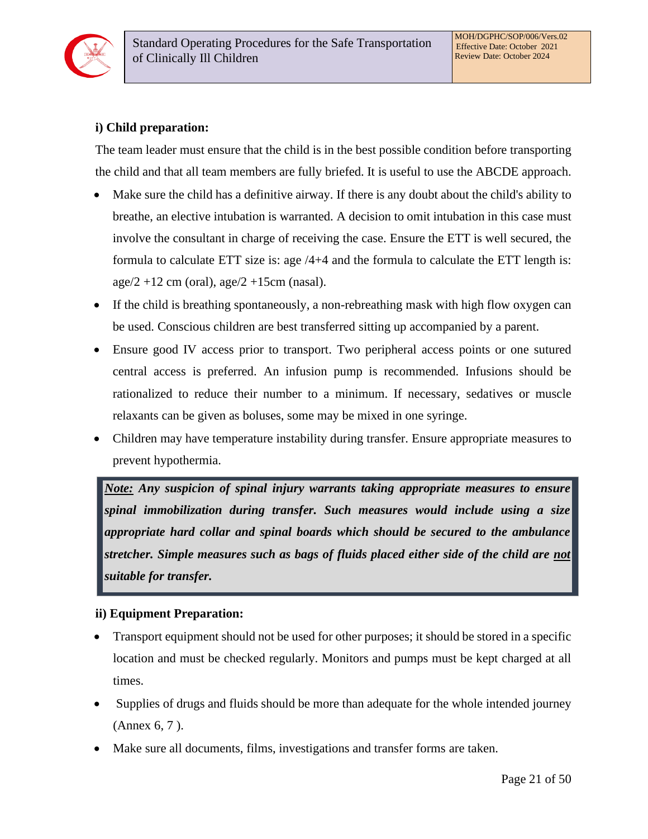

## **i) Child preparation:**

The team leader must ensure that the child is in the best possible condition before transporting the child and that all team members are fully briefed. It is useful to use the ABCDE approach.

- Make sure the child has a definitive airway. If there is any doubt about the child's ability to breathe, an elective intubation is warranted. A decision to omit intubation in this case must involve the consultant in charge of receiving the case. Ensure the ETT is well secured, the formula to calculate ETT size is: age  $/4+4$  and the formula to calculate the ETT length is:  $age/2 + 12$  cm (oral),  $age/2 + 15$ cm (nasal).
- If the child is breathing spontaneously, a non-rebreathing mask with high flow oxygen can be used. Conscious children are best transferred sitting up accompanied by a parent.
- Ensure good IV access prior to transport. Two peripheral access points or one sutured central access is preferred. An infusion pump is recommended. Infusions should be rationalized to reduce their number to a minimum. If necessary, sedatives or muscle relaxants can be given as boluses, some may be mixed in one syringe.
- Children may have temperature instability during transfer. Ensure appropriate measures to prevent hypothermia.

*Note: Any suspicion of spinal injury warrants taking appropriate measures to ensure spinal immobilization during transfer. Such measures would include using a size appropriate hard collar and spinal boards which should be secured to the ambulance stretcher. Simple measures such as bags of fluids placed either side of the child are not suitable for transfer.* 

#### **ii) Equipment Preparation:**

- Transport equipment should not be used for other purposes; it should be stored in a specific location and must be checked regularly. Monitors and pumps must be kept charged at all times.
- Supplies of drugs and fluids should be more than adequate for the whole intended journey (Annex 6, 7 ).
- Make sure all documents, films, investigations and transfer forms are taken.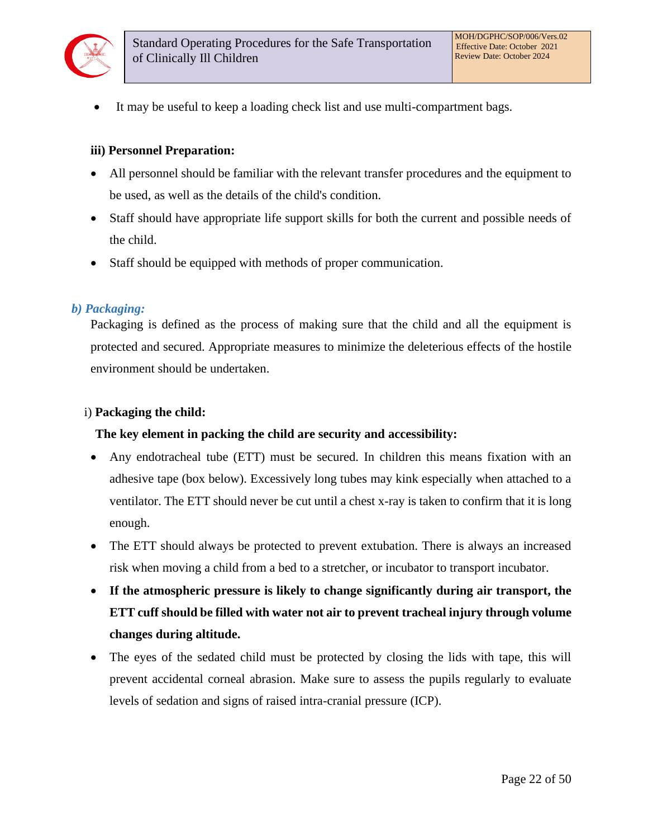

It may be useful to keep a loading check list and use multi-compartment bags.

#### **iii) Personnel Preparation:**

- All personnel should be familiar with the relevant transfer procedures and the equipment to be used, as well as the details of the child's condition.
- Staff should have appropriate life support skills for both the current and possible needs of the child.
- Staff should be equipped with methods of proper communication.

#### *b) Packaging:*

Packaging is defined as the process of making sure that the child and all the equipment is protected and secured. Appropriate measures to minimize the deleterious effects of the hostile environment should be undertaken.

#### i) **Packaging the child:**

#### **The key element in packing the child are security and accessibility:**

- Any endotracheal tube (ETT) must be secured. In children this means fixation with an adhesive tape (box below). Excessively long tubes may kink especially when attached to a ventilator. The ETT should never be cut until a chest x-ray is taken to confirm that it is long enough.
- The ETT should always be protected to prevent extubation. There is always an increased risk when moving a child from a bed to a stretcher, or incubator to transport incubator.
- **If the atmospheric pressure is likely to change significantly during air transport, the ETT cuff should be filled with water not air to prevent tracheal injury through volume changes during altitude.**
- The eyes of the sedated child must be protected by closing the lids with tape, this will prevent accidental corneal abrasion. Make sure to assess the pupils regularly to evaluate levels of sedation and signs of raised intra-cranial pressure (ICP).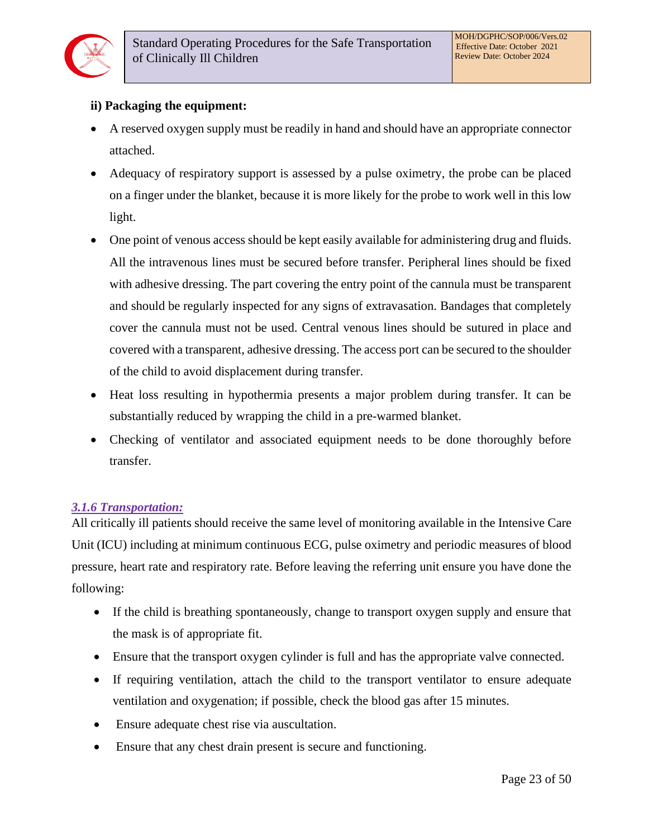## **ii) Packaging the equipment:**

- A reserved oxygen supply must be readily in hand and should have an appropriate connector attached.
- Adequacy of respiratory support is assessed by a pulse oximetry, the probe can be placed on a finger under the blanket, because it is more likely for the probe to work well in this low light.
- One point of venous access should be kept easily available for administering drug and fluids. All the intravenous lines must be secured before transfer. Peripheral lines should be fixed with adhesive dressing. The part covering the entry point of the cannula must be transparent and should be regularly inspected for any signs of extravasation. Bandages that completely cover the cannula must not be used. Central venous lines should be sutured in place and covered with a transparent, adhesive dressing. The access port can be secured to the shoulder of the child to avoid displacement during transfer.
- Heat loss resulting in hypothermia presents a major problem during transfer. It can be substantially reduced by wrapping the child in a pre-warmed blanket.
- Checking of ventilator and associated equipment needs to be done thoroughly before transfer.

## *3.1.6 Transportation:*

All critically ill patients should receive the same level of monitoring available in the Intensive Care Unit (ICU) including at minimum continuous ECG, pulse oximetry and periodic measures of blood pressure, heart rate and respiratory rate. Before leaving the referring unit ensure you have done the following:

- If the child is breathing spontaneously, change to transport oxygen supply and ensure that the mask is of appropriate fit.
- Ensure that the transport oxygen cylinder is full and has the appropriate valve connected.
- If requiring ventilation, attach the child to the transport ventilator to ensure adequate ventilation and oxygenation; if possible, check the blood gas after 15 minutes.
- Ensure adequate chest rise via auscultation.
- Ensure that any chest drain present is secure and functioning.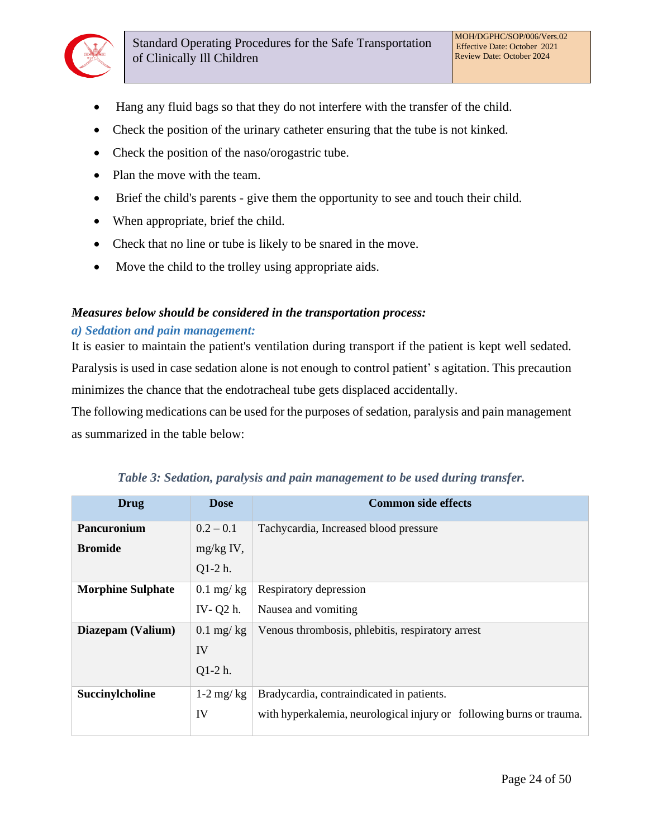

- Hang any fluid bags so that they do not interfere with the transfer of the child.
- Check the position of the urinary catheter ensuring that the tube is not kinked.
- Check the position of the naso/orogastric tube.
- Plan the move with the team.
- Brief the child's parents give them the opportunity to see and touch their child.
- When appropriate, brief the child.
- Check that no line or tube is likely to be snared in the move.
- Move the child to the trolley using appropriate aids.

#### *Measures below should be considered in the transportation process:*

#### *a) Sedation and pain management:*

It is easier to maintain the patient's ventilation during transport if the patient is kept well sedated. Paralysis is used in case sedation alone is not enough to control patient' s agitation. This precaution minimizes the chance that the endotracheal tube gets displaced accidentally.

The following medications can be used for the purposes of sedation, paralysis and pain management as summarized in the table below:

| <b>Drug</b>              | <b>Dose</b> | <b>Common side effects</b>                                           |
|--------------------------|-------------|----------------------------------------------------------------------|
| <b>Pancuronium</b>       | $0.2 - 0.1$ | Tachycardia, Increased blood pressure                                |
| <b>Bromide</b>           | $mg/kg$ IV, |                                                                      |
|                          | $Q1-2$ h.   |                                                                      |
| <b>Morphine Sulphate</b> | $0.1$ mg/kg | Respiratory depression                                               |
|                          | IV-Q2 h.    | Nausea and vomiting                                                  |
| Diazepam (Valium)        | $0.1$ mg/kg | Venous thrombosis, phlebitis, respiratory arrest                     |
|                          | IV          |                                                                      |
|                          | $Q1-2$ h.   |                                                                      |
| Succinylcholine          | $1-2$ mg/kg | Bradycardia, contraindicated in patients.                            |
|                          | IV          | with hyperkalemia, neurological injury or following burns or trauma. |
|                          |             |                                                                      |

*Table 3: Sedation, paralysis and pain management to be used during transfer.*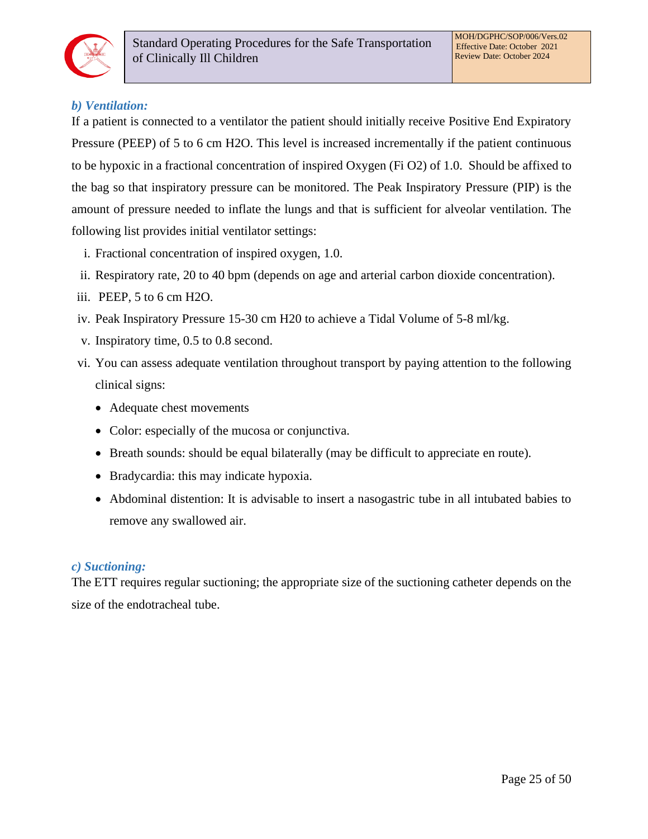

## *b) Ventilation:*

If a patient is connected to a ventilator the patient should initially receive Positive End Expiratory Pressure (PEEP) of 5 to 6 cm H2O. This level is increased incrementally if the patient continuous to be hypoxic in a fractional concentration of inspired Oxygen (Fi O2) of 1.0. Should be affixed to the bag so that inspiratory pressure can be monitored. The Peak Inspiratory Pressure (PIP) is the amount of pressure needed to inflate the lungs and that is sufficient for alveolar ventilation. The following list provides initial ventilator settings:

- i. Fractional concentration of inspired oxygen, 1.0.
- ii. Respiratory rate, 20 to 40 bpm (depends on age and arterial carbon dioxide concentration).
- iii. PEEP, 5 to 6 cm H2O.
- iv. Peak Inspiratory Pressure 15-30 cm H20 to achieve a Tidal Volume of 5-8 ml/kg.
- v. Inspiratory time, 0.5 to 0.8 second.
- vi. You can assess adequate ventilation throughout transport by paying attention to the following clinical signs:
	- Adequate chest movements
	- Color: especially of the mucosa or conjunctiva.
	- Breath sounds: should be equal bilaterally (may be difficult to appreciate en route).
	- Bradycardia: this may indicate hypoxia.
	- Abdominal distention: It is advisable to insert a nasogastric tube in all intubated babies to remove any swallowed air.

#### *c) Suctioning:*

The ETT requires regular suctioning; the appropriate size of the suctioning catheter depends on the size of the endotracheal tube.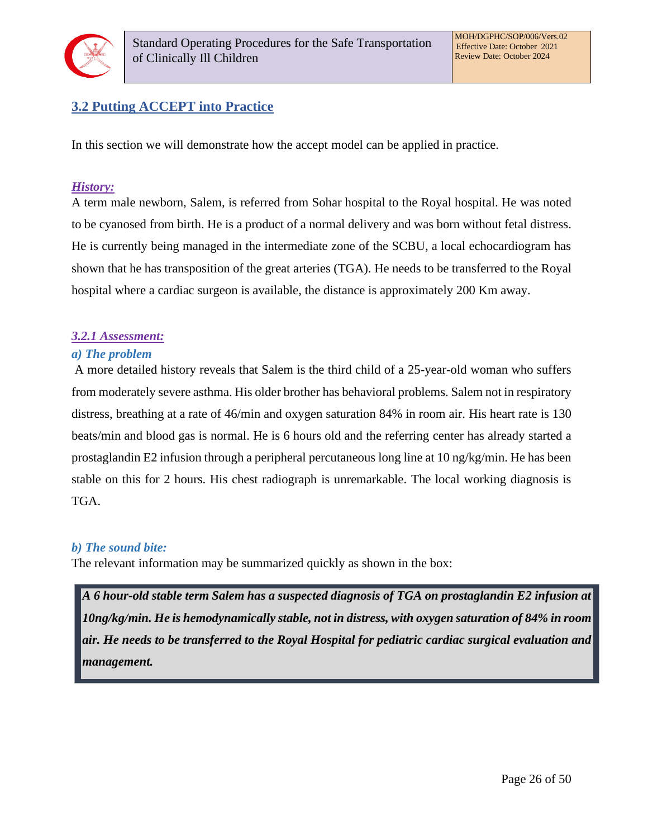

## <span id="page-25-0"></span>**3.2 Putting ACCEPT into Practice**

In this section we will demonstrate how the accept model can be applied in practice.

## *History:*

A term male newborn, Salem, is referred from Sohar hospital to the Royal hospital. He was noted to be cyanosed from birth. He is a product of a normal delivery and was born without fetal distress. He is currently being managed in the intermediate zone of the SCBU, a local echocardiogram has shown that he has transposition of the great arteries (TGA). He needs to be transferred to the Royal hospital where a cardiac surgeon is available, the distance is approximately 200 Km away.

## *3.2.1 Assessment:*

#### *a) The problem*

A more detailed history reveals that Salem is the third child of a 25-year-old woman who suffers from moderately severe asthma. His older brother has behavioral problems. Salem not in respiratory distress, breathing at a rate of 46/min and oxygen saturation 84% in room air. His heart rate is 130 beats/min and blood gas is normal. He is 6 hours old and the referring center has already started a prostaglandin E2 infusion through a peripheral percutaneous long line at 10 ng/kg/min. He has been stable on this for 2 hours. His chest radiograph is unremarkable. The local working diagnosis is TGA.

#### *b) The sound bite:*

The relevant information may be summarized quickly as shown in the box:

*A 6 hour-old stable term Salem has a suspected diagnosis of TGA on prostaglandin E2 infusion at 10ng/kg/min. He is hemodynamically stable, not in distress, with oxygen saturation of 84% in room air. He needs to be transferred to the Royal Hospital for pediatric cardiac surgical evaluation and management.*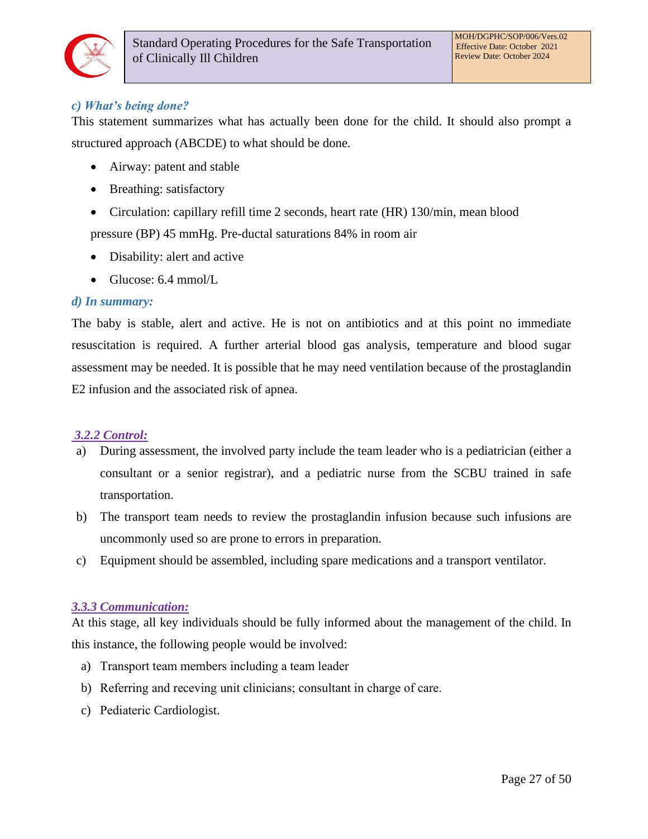

## *c) What's being done?*

This statement summarizes what has actually been done for the child. It should also prompt a structured approach (ABCDE) to what should be done.

- Airway: patent and stable
- Breathing: satisfactory
- Circulation: capillary refill time 2 seconds, heart rate (HR) 130/min, mean blood pressure (BP) 45 mmHg. Pre-ductal saturations 84% in room air
- Disability: alert and active
- Glucose: 6.4 mmol/L

#### *d) In summary:*

The baby is stable, alert and active. He is not on antibiotics and at this point no immediate resuscitation is required. A further arterial blood gas analysis, temperature and blood sugar assessment may be needed. It is possible that he may need ventilation because of the prostaglandin E2 infusion and the associated risk of apnea.

#### *3.2.2 Control:*

- a) During assessment, the involved party include the team leader who is a pediatrician (either a consultant or a senior registrar), and a pediatric nurse from the SCBU trained in safe transportation.
- b) The transport team needs to review the prostaglandin infusion because such infusions are uncommonly used so are prone to errors in preparation.
- c) Equipment should be assembled, including spare medications and a transport ventilator.

#### *3.3.3 Communication:*

At this stage, all key individuals should be fully informed about the management of the child. In this instance, the following people would be involved:

- a) Transport team members including a team leader
- b) Referring and receving unit clinicians; consultant in charge of care.
- c) Pediateric Cardiologist.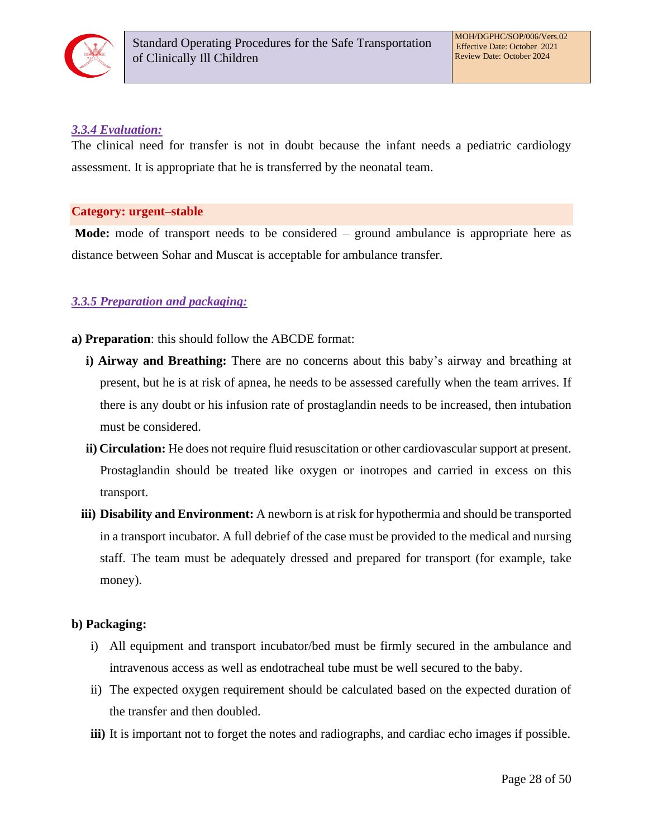

#### *3.3.4 Evaluation:*

The clinical need for transfer is not in doubt because the infant needs a pediatric cardiology assessment. It is appropriate that he is transferred by the neonatal team.

#### **Category: urgent–stable**

**Mode:** mode of transport needs to be considered – ground ambulance is appropriate here as distance between Sohar and Muscat is acceptable for ambulance transfer.

## *3.3.5 Preparation and packaging:*

- **a) Preparation**: this should follow the ABCDE format:
	- **i) Airway and Breathing:** There are no concerns about this baby's airway and breathing at present, but he is at risk of apnea, he needs to be assessed carefully when the team arrives. If there is any doubt or his infusion rate of prostaglandin needs to be increased, then intubation must be considered.
	- **ii) Circulation:** He does not require fluid resuscitation or other cardiovascular support at present. Prostaglandin should be treated like oxygen or inotropes and carried in excess on this transport.
	- **iii) Disability and Environment:** A newborn is at risk for hypothermia and should be transported in a transport incubator. A full debrief of the case must be provided to the medical and nursing staff. The team must be adequately dressed and prepared for transport (for example, take money).

#### **b) Packaging:**

- i) All equipment and transport incubator/bed must be firmly secured in the ambulance and intravenous access as well as endotracheal tube must be well secured to the baby.
- ii) The expected oxygen requirement should be calculated based on the expected duration of the transfer and then doubled.
- **iii)** It is important not to forget the notes and radiographs, and cardiac echo images if possible.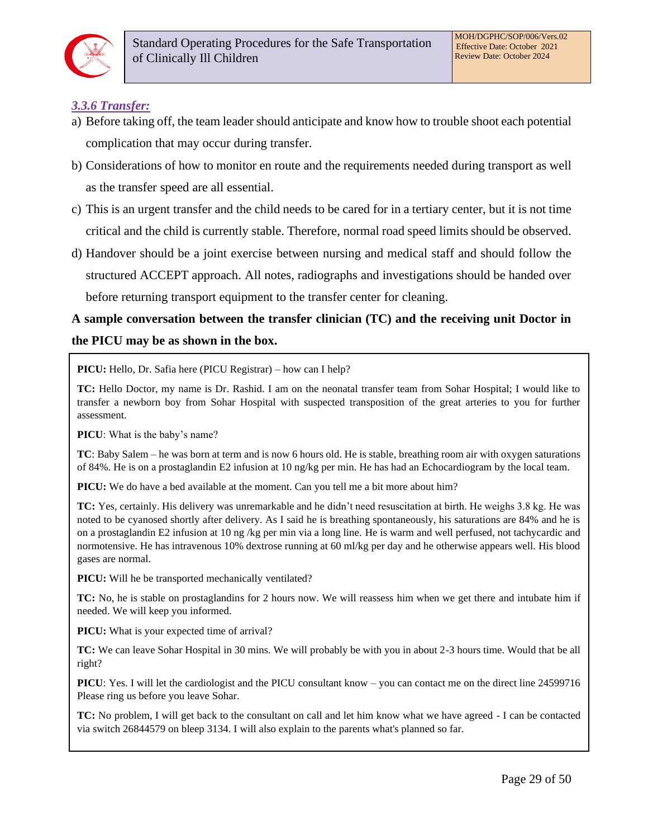

## *3.3.6 Transfer:*

- a) Before taking off, the team leader should anticipate and know how to trouble shoot each potential complication that may occur during transfer.
- b) Considerations of how to monitor en route and the requirements needed during transport as well as the transfer speed are all essential.
- c) This is an urgent transfer and the child needs to be cared for in a tertiary center, but it is not time critical and the child is currently stable. Therefore, normal road speed limits should be observed.
- d) Handover should be a joint exercise between nursing and medical staff and should follow the structured ACCEPT approach. All notes, radiographs and investigations should be handed over before returning transport equipment to the transfer center for cleaning.

# **A sample conversation between the transfer clinician (TC) and the receiving unit Doctor in the PICU may be as shown in the box.**

**PICU:** Hello, Dr. Safia here (PICU Registrar) – how can I help?

**TC:** Hello Doctor, my name is Dr. Rashid. I am on the neonatal transfer team from Sohar Hospital; I would like to transfer a newborn boy from Sohar Hospital with suspected transposition of the great arteries to you for further assessment.

**PICU**: What is the baby's name?

**TC**: Baby Salem – he was born at term and is now 6 hours old. He is stable, breathing room air with oxygen saturations of 84%. He is on a prostaglandin E2 infusion at 10 ng/kg per min. He has had an Echocardiogram by the local team.

**PICU:** We do have a bed available at the moment. Can you tell me a bit more about him?

**TC:** Yes, certainly. His delivery was unremarkable and he didn't need resuscitation at birth. He weighs 3.8 kg. He was noted to be cyanosed shortly after delivery. As I said he is breathing spontaneously, his saturations are 84% and he is on a prostaglandin E2 infusion at 10 ng /kg per min via a long line. He is warm and well perfused, not tachycardic and normotensive. He has intravenous 10% dextrose running at 60 ml/kg per day and he otherwise appears well. His blood gases are normal.

**PICU:** Will he be transported mechanically ventilated?

**TC:** No, he is stable on prostaglandins for 2 hours now. We will reassess him when we get there and intubate him if needed. We will keep you informed.

**PICU:** What is your expected time of arrival?

**TC:** We can leave Sohar Hospital in 30 mins. We will probably be with you in about 2-3 hours time. Would that be all right?

**PICU**: Yes. I will let the cardiologist and the PICU consultant know – you can contact me on the direct line 24599716 Please ring us before you leave Sohar.

**TC:** No problem, I will get back to the consultant on call and let him know what we have agreed - I can be contacted via switch 26844579 on bleep 3134. I will also explain to the parents what's planned so far.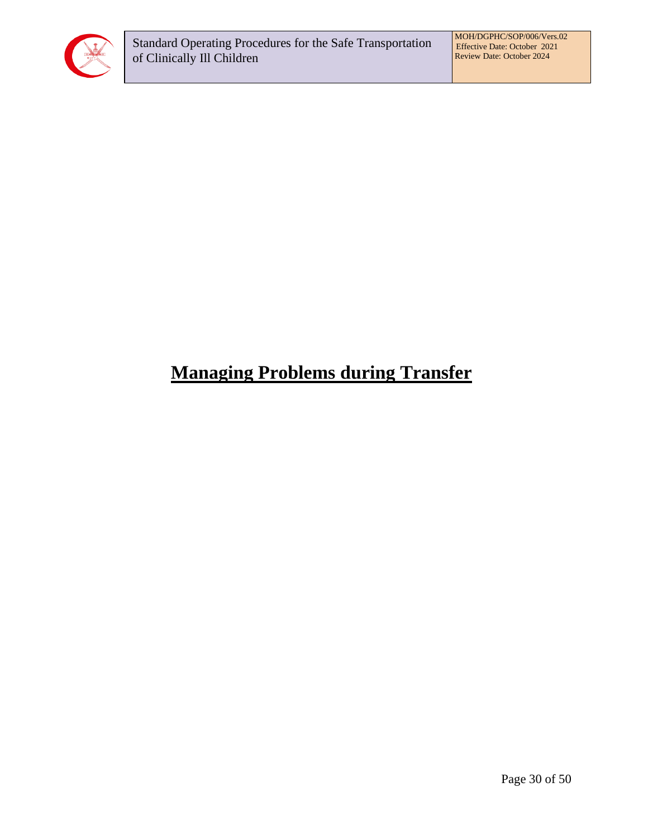

# <span id="page-29-0"></span>**Managing Problems during Transfer**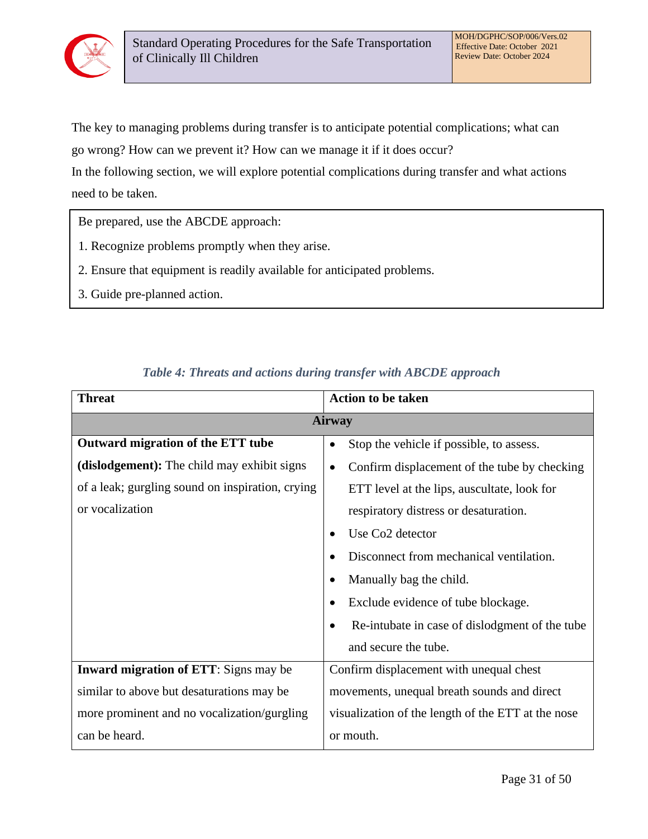

The key to managing problems during transfer is to anticipate potential complications; what can

go wrong? How can we prevent it? How can we manage it if it does occur?

In the following section, we will explore potential complications during transfer and what actions need to be taken.

Be prepared, use the ABCDE approach:

- 1. Recognize problems promptly when they arise.
- 2. Ensure that equipment is readily available for anticipated problems.
- 3. Guide pre-planned action.

| <b>Threat</b>                                    | <b>Action to be taken</b>                                   |
|--------------------------------------------------|-------------------------------------------------------------|
|                                                  | <b>Airway</b>                                               |
| Outward migration of the ETT tube                | Stop the vehicle if possible, to assess.<br>٠               |
| (dislodgement): The child may exhibit signs      | Confirm displacement of the tube by checking<br>$\bullet$   |
| of a leak; gurgling sound on inspiration, crying | ETT level at the lips, auscultate, look for                 |
| or vocalization                                  | respiratory distress or desaturation.                       |
|                                                  | Use Co <sub>2</sub> detector<br>$\bullet$                   |
|                                                  | Disconnect from mechanical ventilation.                     |
|                                                  | Manually bag the child.<br>$\bullet$                        |
|                                                  | Exclude evidence of tube blockage.<br>$\bullet$             |
|                                                  | Re-intubate in case of dislodgment of the tube<br>$\bullet$ |
|                                                  | and secure the tube.                                        |
| Inward migration of ETT: Signs may be            | Confirm displacement with unequal chest                     |
| similar to above but desaturations may be        | movements, unequal breath sounds and direct                 |
| more prominent and no vocalization/gurgling      | visualization of the length of the ETT at the nose          |
| can be heard.                                    | or mouth.                                                   |

## *Table 4: Threats and actions during transfer with ABCDE approach*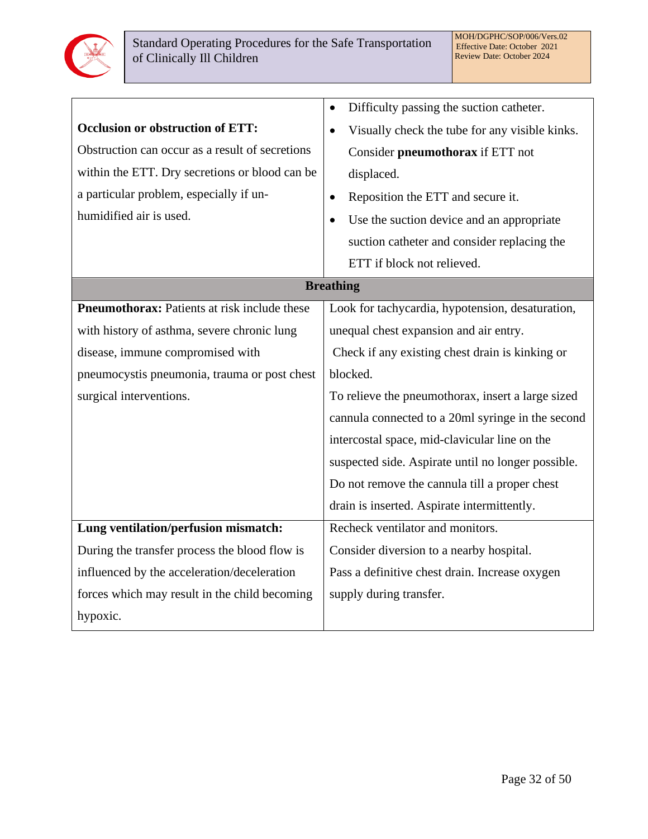

|                                                     | Difficulty passing the suction catheter.<br>$\bullet$  |
|-----------------------------------------------------|--------------------------------------------------------|
| <b>Occlusion or obstruction of ETT:</b>             | Visually check the tube for any visible kinks.         |
| Obstruction can occur as a result of secretions     | Consider pneumothorax if ETT not                       |
| within the ETT. Dry secretions or blood can be      | displaced.                                             |
| a particular problem, especially if un-             | Reposition the ETT and secure it.<br>$\bullet$         |
| humidified air is used.                             | Use the suction device and an appropriate<br>$\bullet$ |
|                                                     | suction catheter and consider replacing the            |
|                                                     | ETT if block not relieved.                             |
|                                                     | <b>Breathing</b>                                       |
| <b>Pneumothorax:</b> Patients at risk include these | Look for tachycardia, hypotension, desaturation,       |
| with history of asthma, severe chronic lung         | unequal chest expansion and air entry.                 |
| disease, immune compromised with                    | Check if any existing chest drain is kinking or        |
| pneumocystis pneumonia, trauma or post chest        | blocked.                                               |
| surgical interventions.                             | To relieve the pneumothorax, insert a large sized      |
|                                                     | cannula connected to a 20ml syringe in the second      |
|                                                     | intercostal space, mid-clavicular line on the          |
|                                                     | suspected side. Aspirate until no longer possible.     |
|                                                     | Do not remove the cannula till a proper chest          |
|                                                     | drain is inserted. Aspirate intermittently.            |
| Lung ventilation/perfusion mismatch:                | Recheck ventilator and monitors.                       |
| During the transfer process the blood flow is       | Consider diversion to a nearby hospital.               |
| influenced by the acceleration/deceleration         | Pass a definitive chest drain. Increase oxygen         |
| forces which may result in the child becoming       | supply during transfer.                                |
| hypoxic.                                            |                                                        |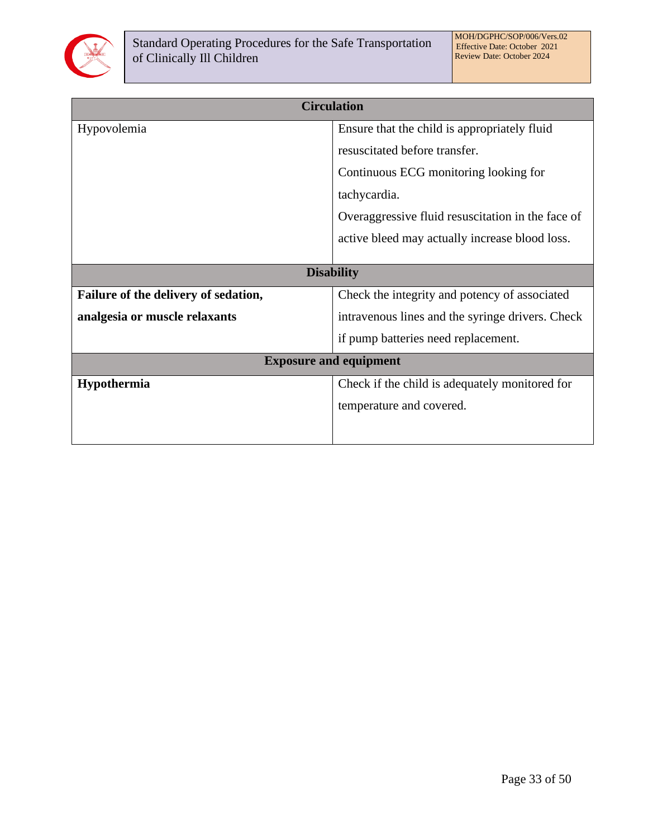

| <b>Circulation</b>                   |                                                   |  |  |
|--------------------------------------|---------------------------------------------------|--|--|
|                                      |                                                   |  |  |
| Hypovolemia                          | Ensure that the child is appropriately fluid      |  |  |
|                                      | resuscitated before transfer.                     |  |  |
|                                      | Continuous ECG monitoring looking for             |  |  |
|                                      | tachycardia.                                      |  |  |
|                                      | Overaggressive fluid resuscitation in the face of |  |  |
|                                      | active bleed may actually increase blood loss.    |  |  |
|                                      |                                                   |  |  |
| <b>Disability</b>                    |                                                   |  |  |
| Failure of the delivery of sedation, | Check the integrity and potency of associated     |  |  |
| analgesia or muscle relaxants        | intravenous lines and the syringe drivers. Check  |  |  |
|                                      | if pump batteries need replacement.               |  |  |
| <b>Exposure and equipment</b>        |                                                   |  |  |
| Hypothermia                          | Check if the child is adequately monitored for    |  |  |
|                                      | temperature and covered.                          |  |  |
|                                      |                                                   |  |  |
|                                      |                                                   |  |  |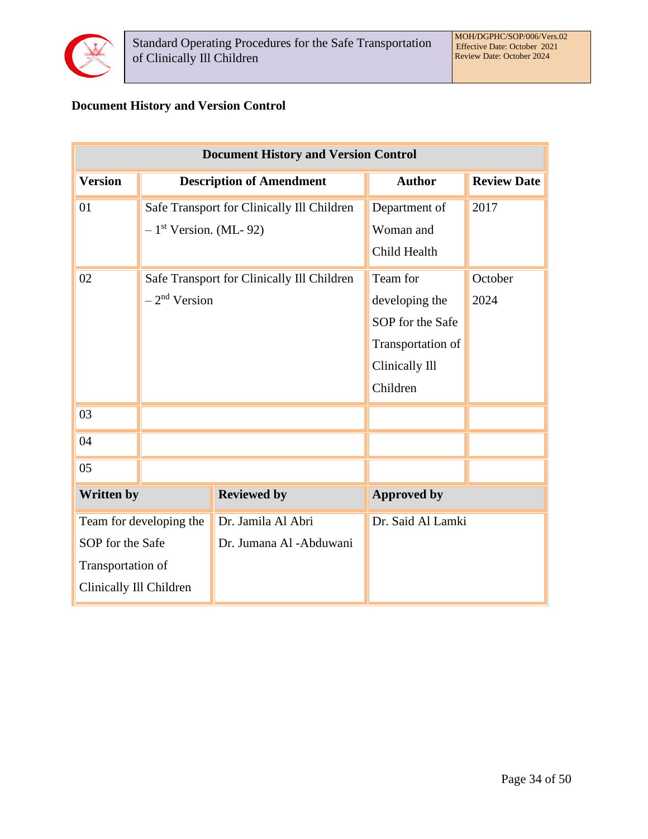

## **Document History and Version Control**

| <b>Document History and Version Control</b> |                                            |                                            |                    |                    |  |
|---------------------------------------------|--------------------------------------------|--------------------------------------------|--------------------|--------------------|--|
| <b>Version</b>                              | <b>Description of Amendment</b>            |                                            | <b>Author</b>      | <b>Review Date</b> |  |
| 01                                          | Safe Transport for Clinically Ill Children |                                            | Department of      | 2017               |  |
|                                             | $-1$ <sup>st</sup> Version. (ML-92)        |                                            | Woman and          |                    |  |
|                                             |                                            |                                            | Child Health       |                    |  |
| 02                                          |                                            | Safe Transport for Clinically Ill Children | Team for           | October            |  |
|                                             | $-2nd Version$                             |                                            | developing the     | 2024               |  |
|                                             |                                            |                                            | SOP for the Safe   |                    |  |
|                                             |                                            |                                            | Transportation of  |                    |  |
|                                             |                                            |                                            | Clinically Ill     |                    |  |
|                                             |                                            |                                            | Children           |                    |  |
| 03                                          |                                            |                                            |                    |                    |  |
| 04                                          |                                            |                                            |                    |                    |  |
| 05                                          |                                            |                                            |                    |                    |  |
| <b>Written by</b>                           |                                            | <b>Reviewed by</b>                         | <b>Approved by</b> |                    |  |
| Team for developing the                     |                                            | Dr. Jamila Al Abri                         | Dr. Said Al Lamki  |                    |  |
| SOP for the Safe                            |                                            | Dr. Jumana Al -Abduwani                    |                    |                    |  |
| Transportation of                           |                                            |                                            |                    |                    |  |
| Clinically Ill Children                     |                                            |                                            |                    |                    |  |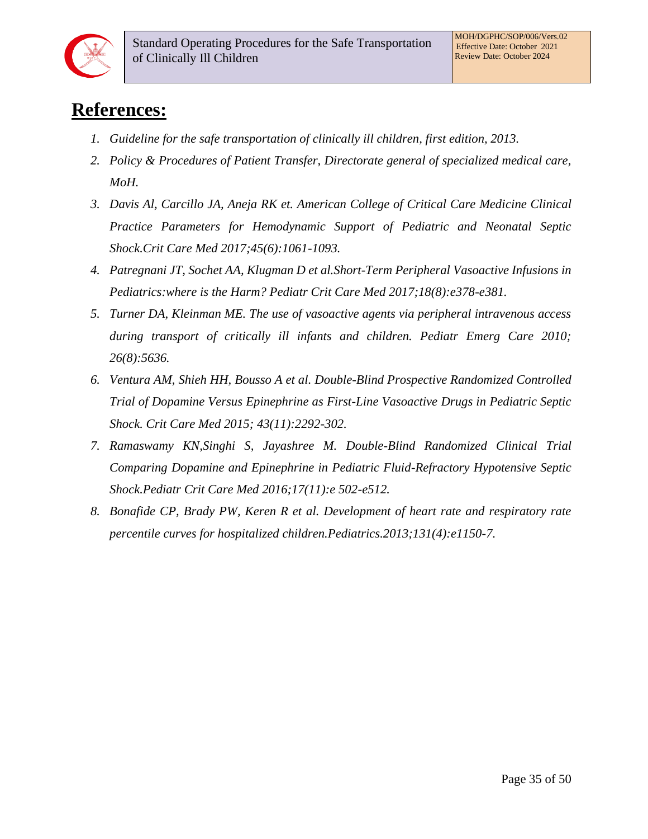

# <span id="page-34-0"></span>**References:**

- *1. Guideline for the safe transportation of clinically ill children, first edition, 2013.*
- *2. Policy & Procedures of Patient Transfer, Directorate general of specialized medical care, MoH.*
- *3. Davis Al, Carcillo JA, Aneja RK et. American College of Critical Care Medicine Clinical Practice Parameters for Hemodynamic Support of Pediatric and Neonatal Septic Shock.Crit Care Med 2017;45(6):1061-1093.*
- *4. Patregnani JT, Sochet AA, Klugman D et al.Short-Term Peripheral Vasoactive Infusions in Pediatrics:where is the Harm? Pediatr Crit Care Med 2017;18(8):e378-e381.*
- *5. Turner DA, Kleinman ME. The use of vasoactive agents via peripheral intravenous access during transport of critically ill infants and children. Pediatr Emerg Care 2010; 26(8):5636.*
- *6. Ventura AM, Shieh HH, Bousso A et al. Double-Blind Prospective Randomized Controlled Trial of Dopamine Versus Epinephrine as First-Line Vasoactive Drugs in Pediatric Septic Shock. Crit Care Med 2015; 43(11):2292-302.*
- *7. Ramaswamy KN,Singhi S, Jayashree M. Double-Blind Randomized Clinical Trial Comparing Dopamine and Epinephrine in Pediatric Fluid-Refractory Hypotensive Septic Shock.Pediatr Crit Care Med 2016;17(11):e 502-e512.*
- *8. Bonafide CP, Brady PW, Keren R et al. Development of heart rate and respiratory rate percentile curves for hospitalized children.Pediatrics.2013;131(4):e1150-7.*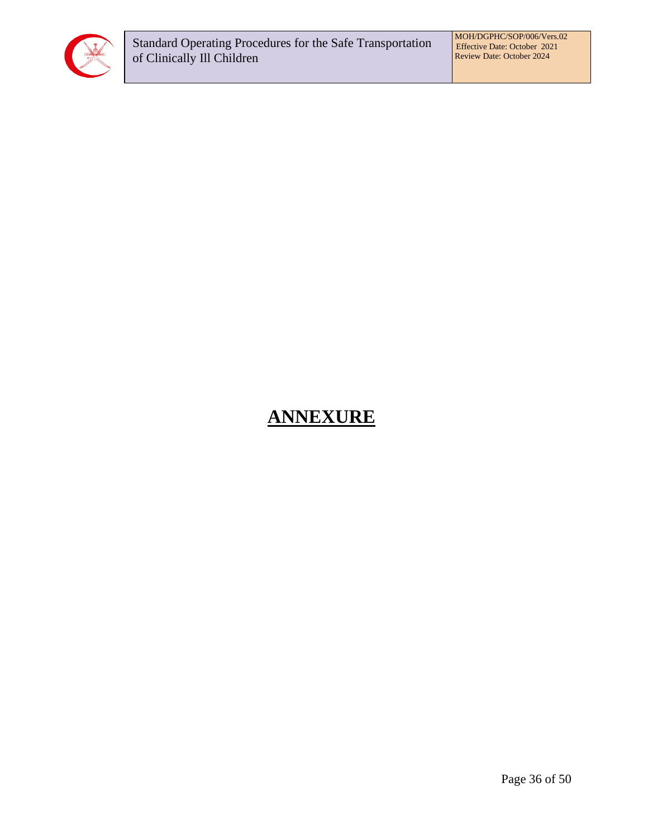

# <span id="page-35-0"></span>**ANNEXURE**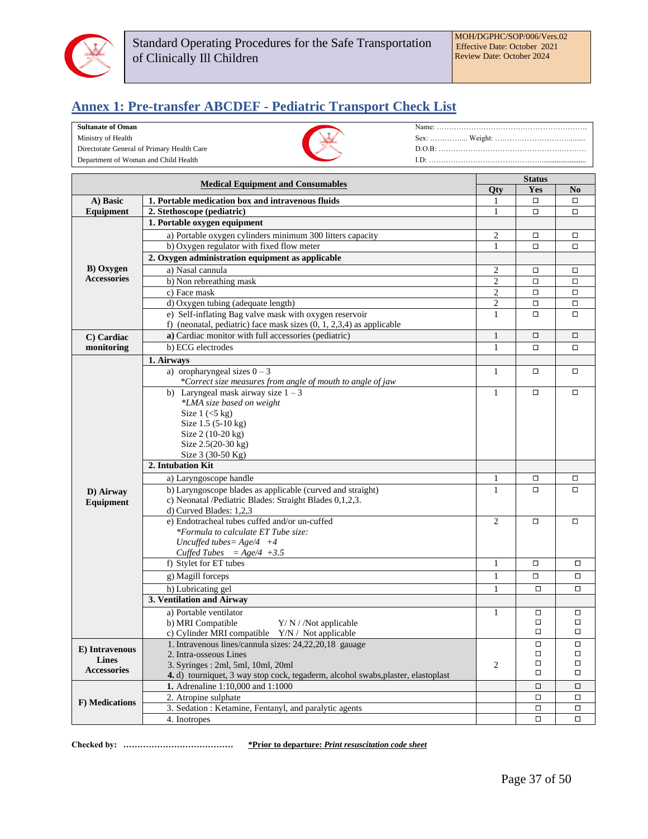

## <span id="page-36-0"></span>**Annex 1: Pre-transfer ABCDEF - Pediatric Transport Check List**

#### **Sultanate of Oman**

Ministry of Health

Directorate General of Primary Health Care Department of Woman and Child Health



|                    | <b>Status</b>                                                                    |                |        |                |
|--------------------|----------------------------------------------------------------------------------|----------------|--------|----------------|
|                    | <b>Medical Equipment and Consumables</b>                                         | <b>Qty</b>     | Yes    | N <sub>0</sub> |
| A) Basic           | 1. Portable medication box and intravenous fluids                                | 1              | □      | $\Box$         |
| Equipment          | 2. Stethoscope (pediatric)                                                       | 1              | □      | о              |
|                    | 1. Portable oxygen equipment                                                     |                |        |                |
|                    | a) Portable oxygen cylinders minimum 300 litters capacity                        | $\overline{2}$ | □      | $\Box$         |
|                    | b) Oxygen regulator with fixed flow meter                                        | $\mathbf{1}$   | □      | $\Box$         |
|                    | 2. Oxygen administration equipment as applicable                                 |                |        |                |
| <b>B</b> ) Oxygen  | a) Nasal cannula                                                                 | $\mathfrak{2}$ | □      | $\Box$         |
| <b>Accessories</b> | b) Non rebreathing mask                                                          | $\mathfrak{2}$ | $\Box$ | $\Box$         |
|                    | c) Face mask                                                                     | $\sqrt{2}$     | □      | $\Box$         |
|                    | d) Oxygen tubing (adequate length)                                               | $\mathfrak{2}$ | $\Box$ | $\Box$         |
|                    | e) Self-inflating Bag valve mask with oxygen reservoir                           | $\mathbf{1}$   | □      |                |
|                    | f) (neonatal, pediatric) face mask sizes $(0, 1, 2, 3, 4)$ as applicable         |                |        |                |
| C) Cardiac         | a) Cardiac monitor with full accessories (pediatric)                             | 1              | □      | $\Box$         |
| monitoring         | b) ECG electrodes                                                                | $\mathbf{1}$   | □      | □              |
|                    |                                                                                  |                |        |                |
|                    | 1. Airways<br>a) or<br>opharyngeal sizes $0 - 3$                                 | 1              | $\Box$ | $\Box$         |
|                    | *Correct size measures from angle of mouth to angle of jaw                       |                |        |                |
|                    | b) Laryngeal mask airway size $1 - 3$                                            | $\mathbf{1}$   | $\Box$ | $\Box$         |
|                    | *LMA size based on weight                                                        |                |        |                |
|                    | Size $1$ ( $<$ 5 kg)                                                             |                |        |                |
|                    | Size 1.5 (5-10 kg)                                                               |                |        |                |
|                    | Size 2 (10-20 kg)                                                                |                |        |                |
|                    | Size 2.5(20-30 kg)                                                               |                |        |                |
|                    | Size 3 (30-50 Kg)                                                                |                |        |                |
|                    | 2. Intubation Kit                                                                |                |        |                |
|                    | a) Laryngoscope handle                                                           | 1              | □      | □              |
|                    | b) Laryngoscope blades as applicable (curved and straight)                       | $\mathbf{1}$   | □      |                |
| D) Airway          | c) Neonatal /Pediatric Blades: Straight Blades 0,1,2,3.                          |                |        |                |
| Equipment          | d) Curved Blades: 1,2,3                                                          |                |        |                |
|                    | e) Endotracheal tubes cuffed and/or un-cuffed                                    | 2              | $\Box$ | $\Box$         |
|                    | *Formula to calculate ET Tube size:                                              |                |        |                |
|                    | Uncuffed tubes = $Age/4 +4$                                                      |                |        |                |
|                    | Cuffed Tubes = $Age/4 +3.5$                                                      |                |        |                |
|                    | f) Stylet for ET tubes                                                           | $\mathbf{1}$   | $\Box$ | П              |
|                    | g) Magill forceps                                                                | $\mathbf{1}$   | 0      | $\Box$         |
|                    | h) Lubricating gel                                                               | 1              | $\Box$ | $\Box$         |
|                    | 3. Ventilation and Airway                                                        |                |        |                |
|                    |                                                                                  |                |        |                |
|                    | a) Portable ventilator                                                           | 1              | □<br>о | $\Box$<br>□    |
|                    | b) MRI Compatible<br>$Y/N$ / Not applicable                                      |                | $\Box$ | □              |
|                    | c) Cylinder MRI compatible Y/N / Not applicable                                  |                | $\Box$ | $\Box$         |
| E) Intravenous     | 1. Intravenous lines/cannula sizes: 24,22,20,18 gauage<br>2. Intra-osseous Lines |                | $\Box$ | □              |
| <b>Lines</b>       | 3. Syringes: 2ml, 5ml, 10ml, 20ml                                                | $\overline{c}$ | □      | □              |
| <b>Accessories</b> | 4. d) tourniquet, 3 way stop cock, tegaderm, alcohol swabs, plaster, elastoplast |                | □      | □              |
|                    | 1. Adrenaline 1:10,000 and 1:1000                                                |                | $\Box$ | $\Box$         |
|                    | 2. Atropine sulphate                                                             |                | о      | □              |
| F) Medications     | 3. Sedation: Ketamine, Fentanyl, and paralytic agents                            |                | $\Box$ | $\Box$         |
|                    | 4. Inotropes                                                                     |                | о      | $\Box$         |
|                    |                                                                                  |                |        |                |

**Checked by: ………………………………… \*Prior to departure:** *Print resuscitation code sheet*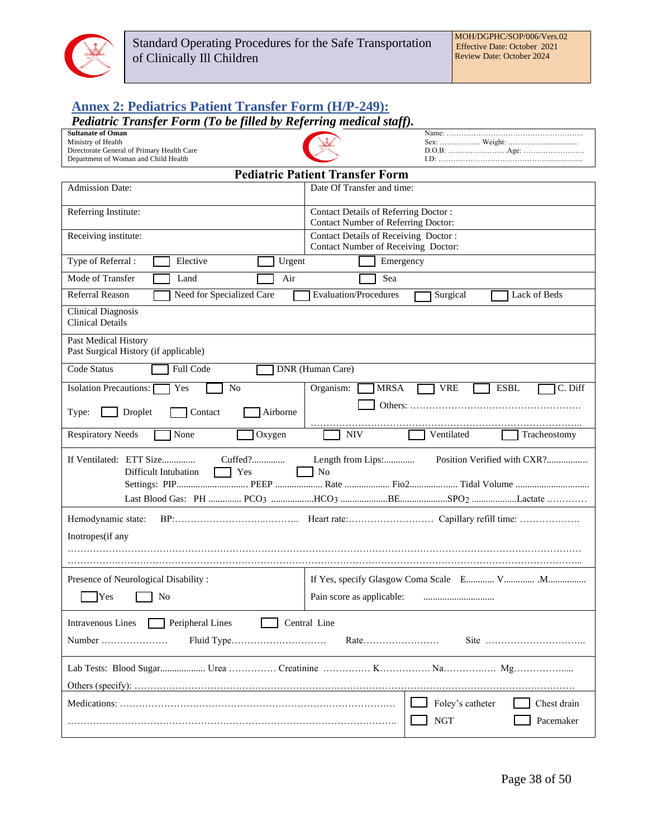

# <span id="page-37-0"></span>**Annex 2: Pediatrics Patient Transfer Form (H/P-249):**

## *Pediatric Transfer Form (To be filled by Referring medical staff).*

| <b>Sultanate of Oman</b>                                                                            |                                                                                                                  |  |  |  |  |
|-----------------------------------------------------------------------------------------------------|------------------------------------------------------------------------------------------------------------------|--|--|--|--|
| Ministry of Health<br>Directorate General of Primary Health Care                                    |                                                                                                                  |  |  |  |  |
| Department of Woman and Child Health                                                                |                                                                                                                  |  |  |  |  |
| <b>Pediatric Patient Transfer Form</b>                                                              |                                                                                                                  |  |  |  |  |
| Date Of Transfer and time:<br><b>Admission Date:</b>                                                |                                                                                                                  |  |  |  |  |
| Referring Institute:<br>Contact Details of Referring Doctor:<br>Contact Number of Referring Doctor: |                                                                                                                  |  |  |  |  |
| Contact Details of Receiving Doctor:<br>Receiving institute:<br>Contact Number of Receiving Doctor: |                                                                                                                  |  |  |  |  |
| Type of Referral:<br>Elective<br>Urgent                                                             | Emergency                                                                                                        |  |  |  |  |
| Mode of Transfer<br>Air<br>Land                                                                     | Sea                                                                                                              |  |  |  |  |
| Need for Specialized Care<br><b>Referral Reason</b>                                                 | <b>Evaluation/Procedures</b><br>Surgical<br>Lack of Beds                                                         |  |  |  |  |
| <b>Clinical Diagnosis</b><br><b>Clinical Details</b>                                                |                                                                                                                  |  |  |  |  |
| Past Medical History<br>Past Surgical History (if applicable)                                       |                                                                                                                  |  |  |  |  |
| Code Status<br>Full Code                                                                            | DNR (Human Care)                                                                                                 |  |  |  |  |
| N <sub>o</sub><br><b>Isolation Precautions:</b><br>Yes                                              | <b>ESBL</b><br>C. Diff<br>Organism:<br><b>MRSA</b><br><b>VRE</b>                                                 |  |  |  |  |
| Droplet<br>Contact<br>Airborne<br>Type:                                                             |                                                                                                                  |  |  |  |  |
| <b>Respiratory Needs</b><br>None<br>Oxygen                                                          | <b>NIV</b><br>Ventilated<br>Tracheostomy                                                                         |  |  |  |  |
| If Ventilated: ETT Size<br>Yes<br>Difficult Intubation                                              | Length from Lips:<br>Position Verified with CXR?<br>N <sub>o</sub><br>Last Blood Gas: PH  PCO3 HCO3 SPO2 Lactate |  |  |  |  |
| Hemodynamic state:                                                                                  |                                                                                                                  |  |  |  |  |
| Inotropes(if any                                                                                    |                                                                                                                  |  |  |  |  |
|                                                                                                     |                                                                                                                  |  |  |  |  |
| Presence of Neurological Disability:                                                                |                                                                                                                  |  |  |  |  |
| Yes<br>No                                                                                           | Pain score as applicable:                                                                                        |  |  |  |  |
|                                                                                                     |                                                                                                                  |  |  |  |  |
| Peripheral Lines<br>Central Line<br><b>Intravenous Lines</b>                                        |                                                                                                                  |  |  |  |  |
| Number<br>Rate                                                                                      |                                                                                                                  |  |  |  |  |
|                                                                                                     |                                                                                                                  |  |  |  |  |
|                                                                                                     |                                                                                                                  |  |  |  |  |
|                                                                                                     | Foley's catheter<br>Chest drain                                                                                  |  |  |  |  |
|                                                                                                     | <b>NGT</b><br>Pacemaker                                                                                          |  |  |  |  |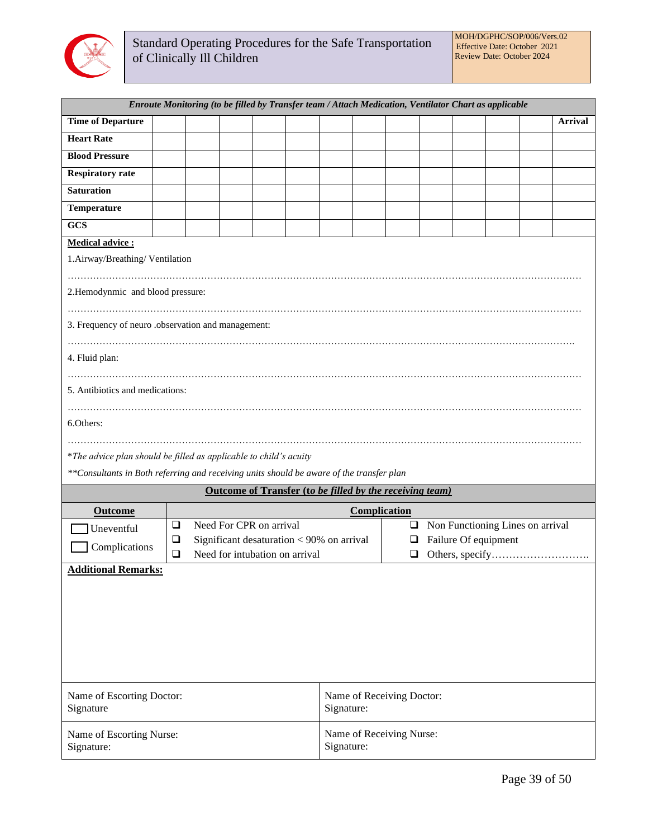

| Enroute Monitoring (to be filled by Transfer team / Attach Medication, Ventilator Chart as applicable |        |  |            |                                                          |  |                           |                          |                                |  |  |  |                                  |                |
|-------------------------------------------------------------------------------------------------------|--------|--|------------|----------------------------------------------------------|--|---------------------------|--------------------------|--------------------------------|--|--|--|----------------------------------|----------------|
| <b>Time of Departure</b>                                                                              |        |  |            |                                                          |  |                           |                          |                                |  |  |  |                                  | <b>Arrival</b> |
| <b>Heart Rate</b>                                                                                     |        |  |            |                                                          |  |                           |                          |                                |  |  |  |                                  |                |
| <b>Blood Pressure</b>                                                                                 |        |  |            |                                                          |  |                           |                          |                                |  |  |  |                                  |                |
| <b>Respiratory rate</b>                                                                               |        |  |            |                                                          |  |                           |                          |                                |  |  |  |                                  |                |
| <b>Saturation</b>                                                                                     |        |  |            |                                                          |  |                           |                          |                                |  |  |  |                                  |                |
| Temperature                                                                                           |        |  |            |                                                          |  |                           |                          |                                |  |  |  |                                  |                |
| <b>GCS</b>                                                                                            |        |  |            |                                                          |  |                           |                          |                                |  |  |  |                                  |                |
| Medical advice:                                                                                       |        |  |            |                                                          |  |                           |                          |                                |  |  |  |                                  |                |
| 1.Airway/Breathing/Ventilation                                                                        |        |  |            |                                                          |  |                           |                          |                                |  |  |  |                                  |                |
|                                                                                                       |        |  |            |                                                          |  |                           |                          |                                |  |  |  |                                  |                |
| 2. Hemodynmic and blood pressure:                                                                     |        |  |            |                                                          |  |                           |                          |                                |  |  |  |                                  |                |
|                                                                                                       |        |  |            |                                                          |  |                           |                          |                                |  |  |  |                                  |                |
| 3. Frequency of neuro .observation and management:                                                    |        |  |            |                                                          |  |                           |                          |                                |  |  |  |                                  |                |
|                                                                                                       |        |  |            |                                                          |  |                           |                          |                                |  |  |  |                                  |                |
| 4. Fluid plan:                                                                                        |        |  |            |                                                          |  |                           |                          |                                |  |  |  |                                  |                |
|                                                                                                       |        |  |            |                                                          |  |                           |                          |                                |  |  |  |                                  |                |
| 5. Antibiotics and medications:                                                                       |        |  |            |                                                          |  |                           |                          |                                |  |  |  |                                  |                |
|                                                                                                       |        |  |            |                                                          |  |                           |                          |                                |  |  |  |                                  |                |
| 6.Others:                                                                                             |        |  |            |                                                          |  |                           |                          |                                |  |  |  |                                  |                |
|                                                                                                       |        |  |            |                                                          |  |                           |                          |                                |  |  |  |                                  |                |
| *The advice plan should be filled as applicable to child's acuity                                     |        |  |            |                                                          |  |                           |                          |                                |  |  |  |                                  |                |
| **Consultants in Both referring and receiving units should be aware of the transfer plan              |        |  |            |                                                          |  |                           |                          |                                |  |  |  |                                  |                |
|                                                                                                       |        |  |            | Outcome of Transfer (to be filled by the receiving team) |  |                           |                          |                                |  |  |  |                                  |                |
| <b>Outcome</b>                                                                                        |        |  |            |                                                          |  |                           | Complication             |                                |  |  |  |                                  |                |
| Uneventful                                                                                            | $\Box$ |  |            | Need For CPR on arrival                                  |  |                           |                          | $\Box$                         |  |  |  | Non Functioning Lines on arrival |                |
| Complications                                                                                         | $\Box$ |  |            | Significant desaturation $< 90\%$ on arrival             |  |                           |                          | Failure Of equipment<br>$\Box$ |  |  |  |                                  |                |
|                                                                                                       | $\Box$ |  |            | Need for intubation on arrival                           |  |                           |                          | ❏                              |  |  |  |                                  |                |
| <b>Additional Remarks:</b>                                                                            |        |  |            |                                                          |  |                           |                          |                                |  |  |  |                                  |                |
|                                                                                                       |        |  |            |                                                          |  |                           |                          |                                |  |  |  |                                  |                |
|                                                                                                       |        |  |            |                                                          |  |                           |                          |                                |  |  |  |                                  |                |
|                                                                                                       |        |  |            |                                                          |  |                           |                          |                                |  |  |  |                                  |                |
|                                                                                                       |        |  |            |                                                          |  |                           |                          |                                |  |  |  |                                  |                |
|                                                                                                       |        |  |            |                                                          |  |                           |                          |                                |  |  |  |                                  |                |
|                                                                                                       |        |  |            |                                                          |  |                           |                          |                                |  |  |  |                                  |                |
| Name of Escorting Doctor:                                                                             |        |  |            |                                                          |  | Name of Receiving Doctor: |                          |                                |  |  |  |                                  |                |
| Signature                                                                                             |        |  |            |                                                          |  | Signature:                |                          |                                |  |  |  |                                  |                |
|                                                                                                       |        |  |            |                                                          |  |                           |                          |                                |  |  |  |                                  |                |
| Name of Escorting Nurse:                                                                              |        |  |            |                                                          |  |                           | Name of Receiving Nurse: |                                |  |  |  |                                  |                |
| Signature:                                                                                            |        |  | Signature: |                                                          |  |                           |                          |                                |  |  |  |                                  |                |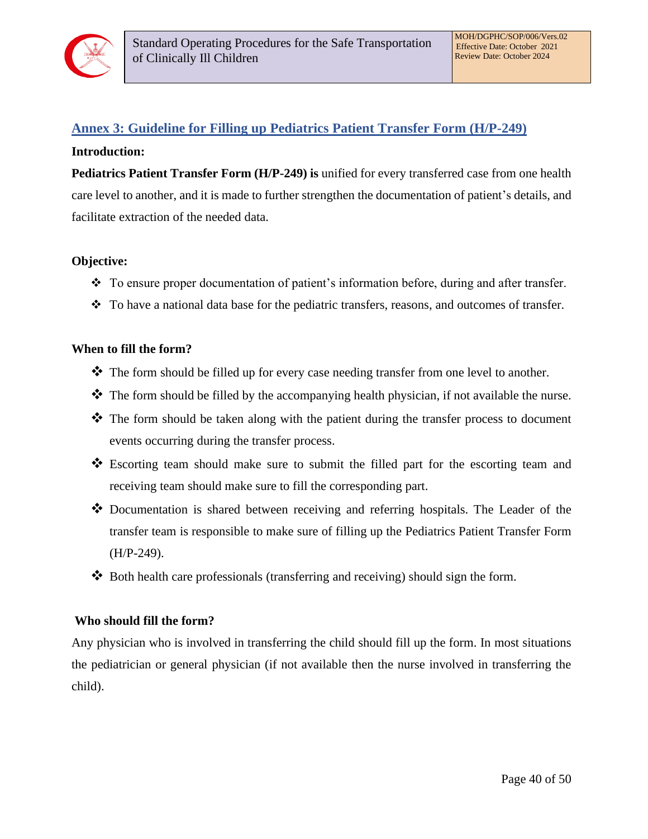

## <span id="page-39-0"></span>**Annex 3: Guideline for Filling up Pediatrics Patient Transfer Form (H/P-249)**

#### **Introduction:**

**Pediatrics Patient Transfer Form (H/P-249) is** unified for every transferred case from one health care level to another, and it is made to further strengthen the documentation of patient's details, and facilitate extraction of the needed data.

#### **Objective:**

- ❖ To ensure proper documentation of patient's information before, during and after transfer.
- ❖ To have a national data base for the pediatric transfers, reasons, and outcomes of transfer.

#### **When to fill the form?**

- ❖ The form should be filled up for every case needing transfer from one level to another.
- ❖ The form should be filled by the accompanying health physician, if not available the nurse.
- ❖ The form should be taken along with the patient during the transfer process to document events occurring during the transfer process.
- ❖ Escorting team should make sure to submit the filled part for the escorting team and receiving team should make sure to fill the corresponding part.
- ❖ Documentation is shared between receiving and referring hospitals. The Leader of the transfer team is responsible to make sure of filling up the Pediatrics Patient Transfer Form (H/P-249).
- ❖ Both health care professionals (transferring and receiving) should sign the form.

#### **Who should fill the form?**

Any physician who is involved in transferring the child should fill up the form. In most situations the pediatrician or general physician (if not available then the nurse involved in transferring the child).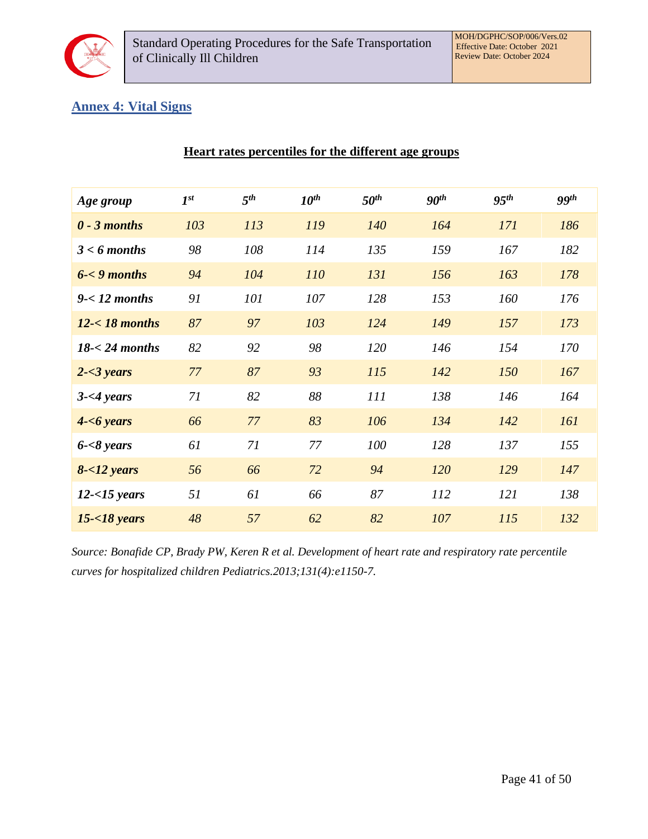

## <span id="page-40-0"></span>**Annex 4: Vital Signs**

| Age group             | $I^{st}$ | 5 <sup>th</sup> | $10^{th}$ | $50^{th}$ | 90 <sup>th</sup> | 95 <sup>th</sup> | ggth |
|-----------------------|----------|-----------------|-----------|-----------|------------------|------------------|------|
| $0 - 3$ months        | 103      | 113             | 119       | 140       | 164              | 171              | 186  |
| $3 < 6$ months        | 98       | 108             | 114       | 135       | 159              | 167              | 182  |
| $6 - 9$ months        | 94       | 104             | 110       | 131       | 156              | 163              | 178  |
| $9 - 12$ months       | 91       | 101             | 107       | 128       | 153              | 160              | 176  |
| $12 - 18$ months      | 87       | 97              | 103       | 124       | 149              | 157              | 173  |
| $18 - 24$ months      | 82       | 92              | 98        | 120       | 146              | 154              | 170  |
| $2 - 3 \text{ years}$ | 77       | 87              | 93        | 115       | 142              | 150              | 167  |
| $3 - 4$ years         | 71       | 82              | 88        | 111       | 138              | 146              | 164  |
| $4 - 6 \text{ years}$ | 66       | 77              | 83        | 106       | 134              | 142              | 161  |
| $6 - 8$ years         | 61       | 71              | 77        | 100       | 128              | 137              | 155  |
| $8 - 12$ years        | 56       | 66              | 72        | 94        | 120              | 129              | 147  |
| $12 - 15$ years       | 51       | 61              | 66        | 87        | 112              | 121              | 138  |
| $15 - 18$ years       | 48       | 57              | 62        | 82        | 107              | 115              | 132  |

**Heart rates percentiles for the different age groups**

*Source: Bonafide CP, Brady PW, Keren R et al. Development of heart rate and respiratory rate percentile curves for hospitalized children Pediatrics.2013;131(4):e1150-7.*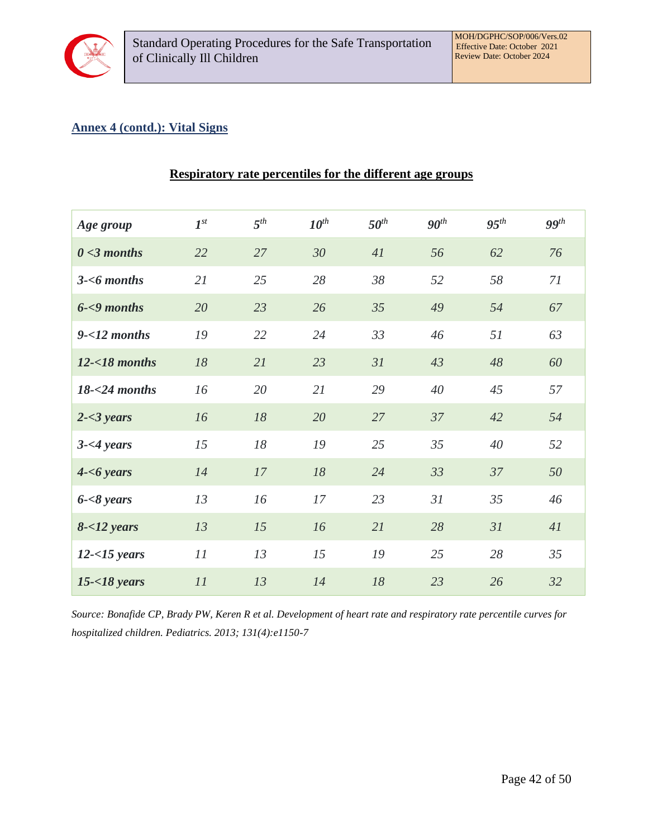

## **Annex 4 (contd.): Vital Signs**

| Age group             | $I^{st}$ | $5^{th}$ | $10^{th}$ | $50^{th}$ | 90 <sup>th</sup> | $95^{th}$ | $99$ <sup>th</sup> |
|-----------------------|----------|----------|-----------|-----------|------------------|-----------|--------------------|
| $0 < 3$ months        | 22       | 27       | 30        | 41        | 56               | 62        | 76                 |
| $3 - 6$ months        | 21       | 25       | 28        | 38        | 52               | 58        | 71                 |
| $6 - 9$ months        | 20       | 23       | 26        | 35        | 49               | 54        | 67                 |
| $9 - 12$ months       | 19       | 22       | 24        | 33        | 46               | 51        | 63                 |
| $12 - 18$ months      | 18       | 21       | 23        | 31        | 43               | 48        | 60                 |
| $18 - 24$ months      | 16       | 20       | 21        | 29        | 40               | 45        | 57                 |
| $2 - 3 \text{ years}$ | 16       | 18       | 20        | 27        | 37               | 42        | 54                 |
| $3 - 4 \text{ years}$ | 15       | 18       | 19        | 25        | 35               | 40        | 52                 |
| $4 - 6 \text{ years}$ | 14       | 17       | 18        | 24        | 33               | 37        | 50                 |
| $6 - 8 \text{ years}$ | 13       | 16       | 17        | 23        | 31               | 35        | 46                 |
| $8 - 12$ years        | 13       | 15       | 16        | 21        | 28               | 31        | 41                 |
| $12 - 15$ years       | 11       | 13       | 15        | 19        | 25               | 28        | 35                 |
| $15 - 18$ years       | 11       | 13       | 14        | 18        | 23               | 26        | 32                 |

#### **Respiratory rate percentiles for the different age groups**

*Source: Bonafide CP, Brady PW, Keren R et al. Development of heart rate and respiratory rate percentile curves for hospitalized children. Pediatrics. 2013; 131(4):e1150-7*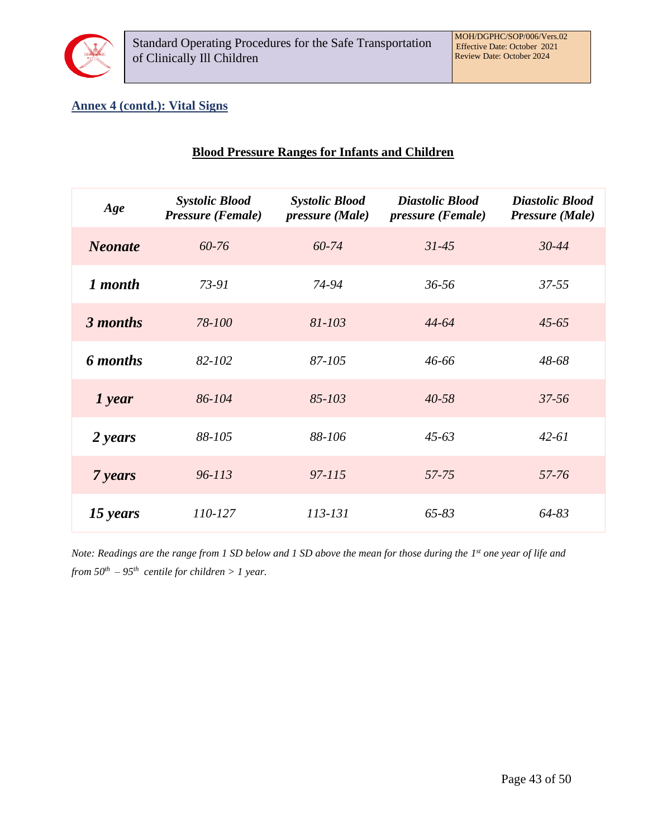

## **Annex 4 (contd.): Vital Signs**

| <b>Blood Pressure Ranges for Infants and Children</b> |  |  |  |
|-------------------------------------------------------|--|--|--|
|                                                       |  |  |  |

| Age                   | <b>Systolic Blood</b><br>Pressure (Female) | <b>Systolic Blood</b><br>pressure (Male) | <b>Diastolic Blood</b><br>pressure (Female) | <b>Diastolic Blood</b><br>Pressure (Male) |
|-----------------------|--------------------------------------------|------------------------------------------|---------------------------------------------|-------------------------------------------|
| <b>Neonate</b>        | 60-76                                      | 60-74                                    | $31 - 45$                                   | $30 - 44$                                 |
| 1 month               | $73-91$                                    | 74-94                                    | $36 - 56$                                   | $37 - 55$                                 |
| 3 months              | 78-100                                     | $81 - 103$                               | $44 - 64$                                   | $45 - 65$                                 |
| 6 months              | 82-102                                     | 87-105                                   | 46-66                                       | 48-68                                     |
| $\boldsymbol{I}$ year | 86-104                                     | 85-103                                   | $40 - 58$                                   | $37 - 56$                                 |
| 2 years               | 88-105                                     | 88-106                                   | $45-63$                                     | $42 - 61$                                 |
| 7 years               | $96 - 113$                                 | 97-115                                   | 57-75                                       | 57-76                                     |
| 15 years              | 110-127                                    | 113-131                                  | 65-83                                       | $64 - 83$                                 |

Note: Readings are the range from 1 SD below and 1 SD above the mean for those during the 1<sup>st</sup> one year of life and *from*  $50^{th}$  *–*  $95^{th}$  *centile for children* > 1 year.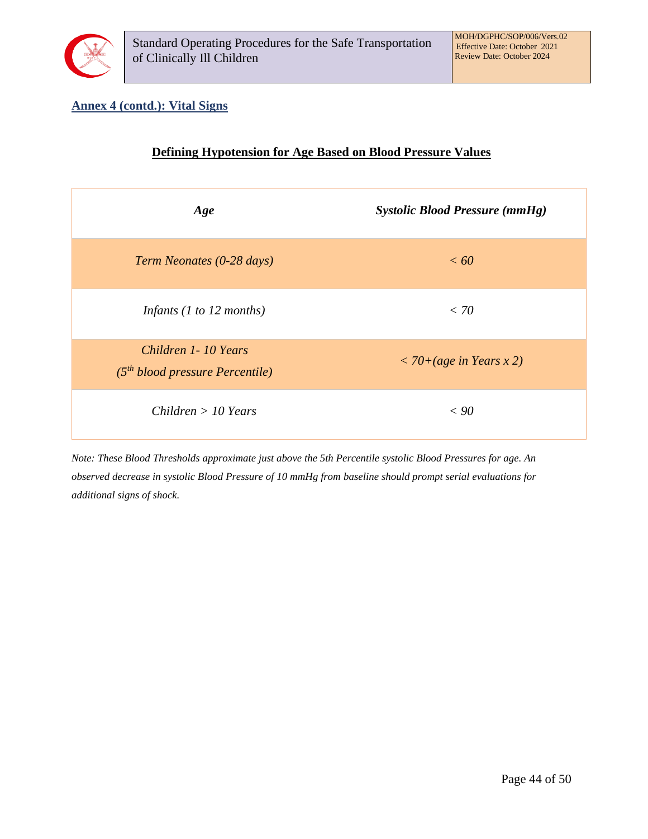

## **Annex 4 (contd.): Vital Signs**

| <b>Defining Hypotension for Age Based on Blood Pressure Values</b> |                                       |
|--------------------------------------------------------------------|---------------------------------------|
| Age                                                                | <b>Systolic Blood Pressure (mmHg)</b> |
| Term Neonates (0-28 days)                                          | < 60                                  |
| Infants $(1 to 12 months)$                                         | < 70                                  |
| Children 1-10 Years<br>$(5th blood pressure Percentile)$           | $<$ 70+(age in Years x 2)             |
| Children > 10 Years                                                | < 90                                  |

*Note: These Blood Thresholds approximate just above the 5th Percentile systolic Blood Pressures for age. An observed decrease in systolic Blood Pressure of 10 mmHg from baseline should prompt serial evaluations for additional signs of shock.*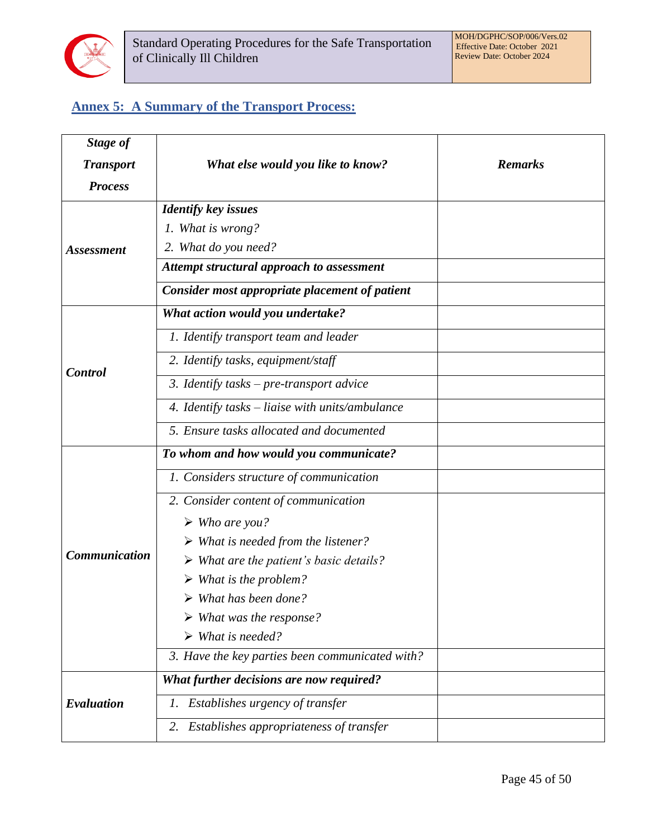

# <span id="page-44-0"></span>**Annex 5: A Summary of the Transport Process:**

| Stage of             |                                                        |                |
|----------------------|--------------------------------------------------------|----------------|
| <b>Transport</b>     | What else would you like to know?                      | <b>Remarks</b> |
| <b>Process</b>       |                                                        |                |
|                      | <b>Identify key issues</b>                             |                |
|                      | 1. What is wrong?                                      |                |
| <b>Assessment</b>    | 2. What do you need?                                   |                |
|                      | Attempt structural approach to assessment              |                |
|                      | Consider most appropriate placement of patient         |                |
|                      | What action would you undertake?                       |                |
|                      | 1. Identify transport team and leader                  |                |
| <b>Control</b>       | 2. Identify tasks, equipment/staff                     |                |
|                      | 3. Identify tasks - pre-transport advice               |                |
|                      | 4. Identify tasks – liaise with units/ambulance        |                |
|                      | 5. Ensure tasks allocated and documented               |                |
|                      | To whom and how would you communicate?                 |                |
|                      | 1. Considers structure of communication                |                |
|                      | 2. Consider content of communication                   |                |
|                      | $\triangleright$ Who are you?                          |                |
|                      | $\triangleright$ What is needed from the listener?     |                |
| <b>Communication</b> | $\triangleright$ What are the patient's basic details? |                |
|                      | $\triangleright$ What is the problem?                  |                |
|                      | $\triangleright$ What has been done?                   |                |
|                      | $\triangleright$ What was the response?                |                |
|                      | $\triangleright$ What is needed?                       |                |
|                      | 3. Have the key parties been communicated with?        |                |
|                      | What further decisions are now required?               |                |
| Evaluation           | 1. Establishes urgency of transfer                     |                |
|                      | 2. Establishes appropriateness of transfer             |                |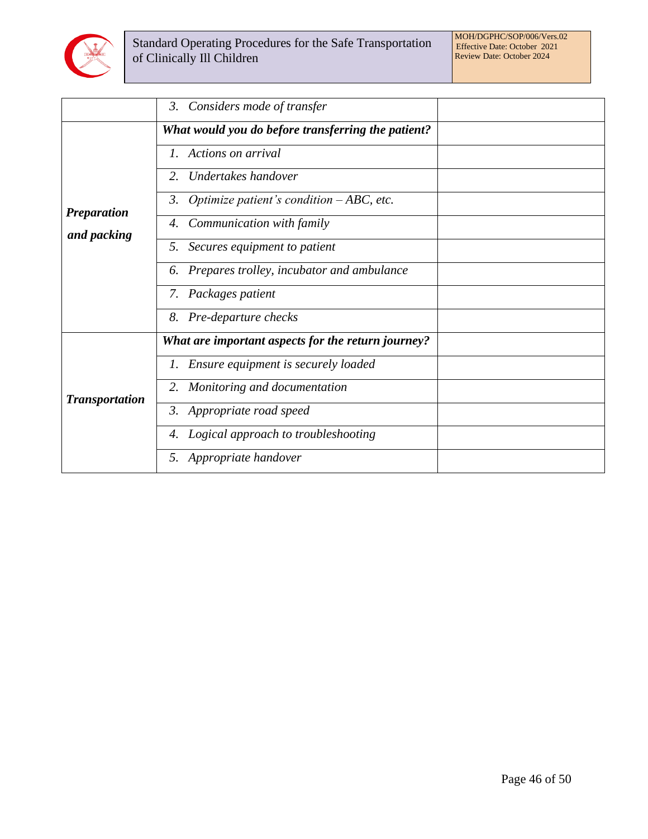

|                       | Considers mode of transfer<br>$\mathfrak{Z}$ .     |  |
|-----------------------|----------------------------------------------------|--|
|                       | What would you do before transferring the patient? |  |
|                       | Actions on arrival                                 |  |
|                       | Undertakes handover<br>2.                          |  |
|                       | Optimize patient's condition $-ABC$ , etc.<br>3.   |  |
| <b>Preparation</b>    | Communication with family<br>4.                    |  |
| and packing           | 5. Secures equipment to patient                    |  |
|                       | Prepares trolley, incubator and ambulance<br>6.    |  |
|                       | Packages patient<br>7.                             |  |
|                       | Pre-departure checks<br>8.                         |  |
|                       | What are important aspects for the return journey? |  |
|                       | Ensure equipment is securely loaded                |  |
| <b>Transportation</b> | Monitoring and documentation<br>2.                 |  |
|                       | 3. Appropriate road speed                          |  |
|                       | Logical approach to troubleshooting<br>4.          |  |
|                       | Appropriate handover<br>5.                         |  |
|                       |                                                    |  |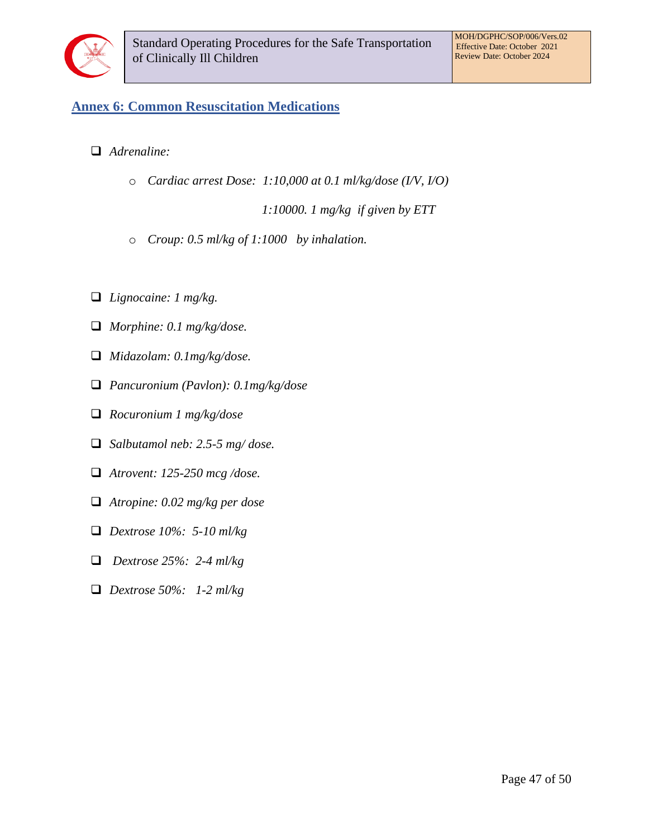

## <span id="page-46-0"></span>**Annex 6: Common Resuscitation Medications**

- ❑ *Adrenaline:* 
	- o *Cardiac arrest Dose: 1:10,000 at 0.1 ml/kg/dose (I/V, I/O)*

*1:10000. 1 mg/kg if given by ETT* 

- o *Croup: 0.5 ml/kg of 1:1000 by inhalation.*
- ❑ *Lignocaine: 1 mg/kg.*
- ❑ *Morphine: 0.1 mg/kg/dose.*
- ❑ *Midazolam: 0.1mg/kg/dose.*
- ❑ *Pancuronium (Pavlon): 0.1mg/kg/dose*
- ❑ *Rocuronium 1 mg/kg/dose*
- ❑ *Salbutamol neb: 2.5-5 mg/ dose.*
- ❑ *Atrovent: 125-250 mcg /dose.*
- ❑ *Atropine: 0.02 mg/kg per dose*
- ❑ *Dextrose 10%: 5-10 ml/kg*
- ❑ *Dextrose 25%: 2-4 ml/kg*
- ❑ *Dextrose 50%: 1-2 ml/kg*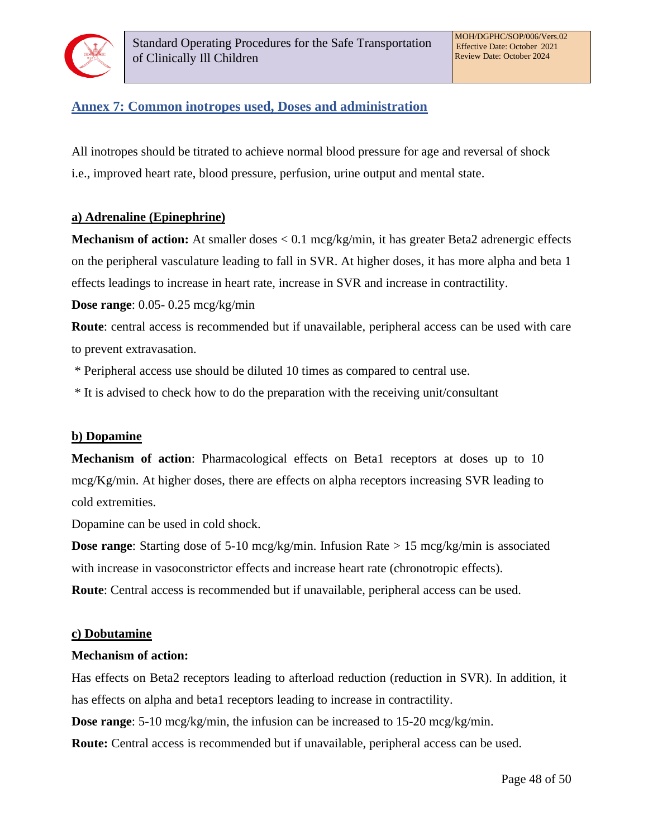

## <span id="page-47-0"></span>**Annex 7: Common inotropes used, Doses and administration**

All inotropes should be titrated to achieve normal blood pressure for age and reversal of shock i.e., improved heart rate, blood pressure, perfusion, urine output and mental state.

#### **a) Adrenaline (Epinephrine)**

**Mechanism of action:** At smaller doses < 0.1 mcg/kg/min, it has greater Beta2 adrenergic effects on the peripheral vasculature leading to fall in SVR. At higher doses, it has more alpha and beta 1 effects leadings to increase in heart rate, increase in SVR and increase in contractility.

**Dose range**: 0.05- 0.25 mcg/kg/min

**Route**: central access is recommended but if unavailable, peripheral access can be used with care to prevent extravasation.

\* Peripheral access use should be diluted 10 times as compared to central use.

\* It is advised to check how to do the preparation with the receiving unit/consultant

#### **b) Dopamine**

**Mechanism of action**: Pharmacological effects on Beta1 receptors at doses up to 10 mcg/Kg/min. At higher doses, there are effects on alpha receptors increasing SVR leading to cold extremities.

Dopamine can be used in cold shock.

**Dose range:** Starting dose of 5-10 mcg/kg/min. Infusion Rate > 15 mcg/kg/min is associated with increase in vasoconstrictor effects and increase heart rate (chronotropic effects).

**Route**: Central access is recommended but if unavailable, peripheral access can be used.

#### **c) Dobutamine**

#### **Mechanism of action:**

Has effects on Beta2 receptors leading to afterload reduction (reduction in SVR). In addition, it has effects on alpha and beta1 receptors leading to increase in contractility.

**Dose range**: 5-10 mcg/kg/min, the infusion can be increased to 15-20 mcg/kg/min.

**Route:** Central access is recommended but if unavailable, peripheral access can be used.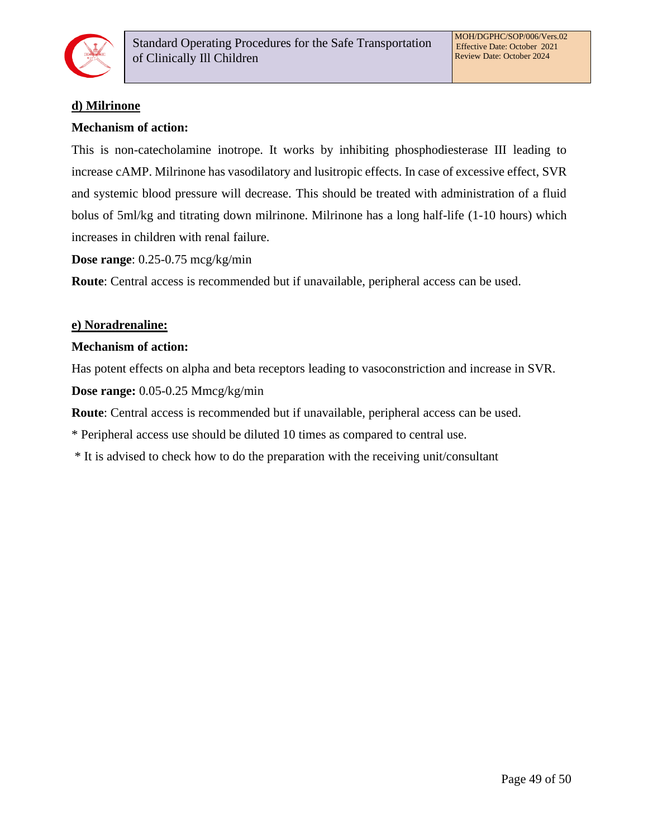

## **d) Milrinone**

#### **Mechanism of action:**

This is non-catecholamine inotrope. It works by inhibiting phosphodiesterase III leading to increase cAMP. Milrinone has vasodilatory and lusitropic effects. In case of excessive effect, SVR and systemic blood pressure will decrease. This should be treated with administration of a fluid bolus of 5ml/kg and titrating down milrinone. Milrinone has a long half-life (1-10 hours) which increases in children with renal failure.

**Dose range**: 0.25-0.75 mcg/kg/min

**Route**: Central access is recommended but if unavailable, peripheral access can be used.

#### **e) Noradrenaline:**

#### **Mechanism of action:**

Has potent effects on alpha and beta receptors leading to vasoconstriction and increase in SVR. **Dose range:** 0.05-0.25 Mmcg/kg/min

**Route**: Central access is recommended but if unavailable, peripheral access can be used.

\* Peripheral access use should be diluted 10 times as compared to central use.

\* It is advised to check how to do the preparation with the receiving unit/consultant